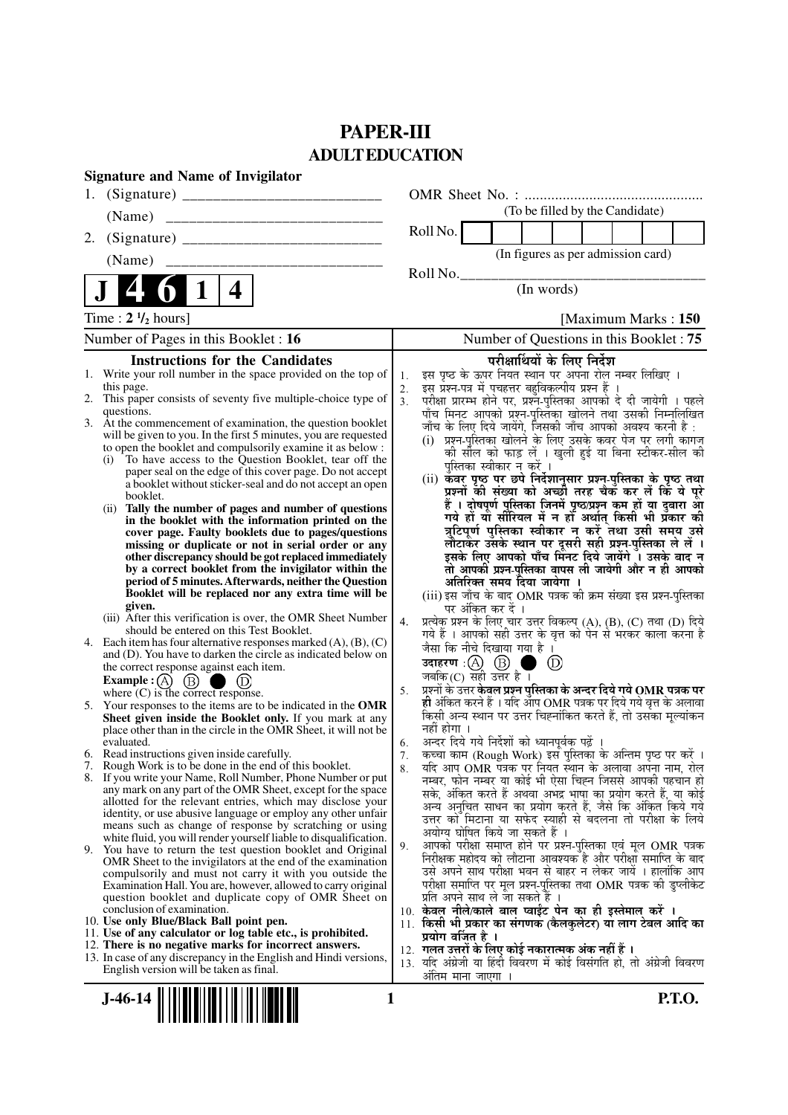# **PAPER-III ADULT EDUCATION**

| <b>Signature and Name of Invigilator</b>                                                                                                                                                                                                                                                                                                                                                                                                                                                                                                                                                                                                                                                                                                                                                                                                                                                                                                                                                                                                                                                                                                                                                                                                                                                                                                                                                                                                                                                                                                                                                                                                                                                                                                                                                                                                                                                                                                                                                                                                                                                                                                                                                                                                                                                                                                                                                                                                                                                                                                                                                                                                                                                                                                                                                                                         |                                                                                                                                                                                                                                                                                                                                                                                                                                                                                                                                                                                                                                                                                                                                                                                                                                                                                                                                                                                                                                                                                                                                                                                                                                                                                                                                                                                                                                                                                                                                                                                                                                                                                                                                                                                                                                                                                                                                                                                                                                                                                                                                                                                                                                                                                                                                                                                                                                                                                                                                                                                                                                                                                                                                                         |
|----------------------------------------------------------------------------------------------------------------------------------------------------------------------------------------------------------------------------------------------------------------------------------------------------------------------------------------------------------------------------------------------------------------------------------------------------------------------------------------------------------------------------------------------------------------------------------------------------------------------------------------------------------------------------------------------------------------------------------------------------------------------------------------------------------------------------------------------------------------------------------------------------------------------------------------------------------------------------------------------------------------------------------------------------------------------------------------------------------------------------------------------------------------------------------------------------------------------------------------------------------------------------------------------------------------------------------------------------------------------------------------------------------------------------------------------------------------------------------------------------------------------------------------------------------------------------------------------------------------------------------------------------------------------------------------------------------------------------------------------------------------------------------------------------------------------------------------------------------------------------------------------------------------------------------------------------------------------------------------------------------------------------------------------------------------------------------------------------------------------------------------------------------------------------------------------------------------------------------------------------------------------------------------------------------------------------------------------------------------------------------------------------------------------------------------------------------------------------------------------------------------------------------------------------------------------------------------------------------------------------------------------------------------------------------------------------------------------------------------------------------------------------------------------------------------------------------|---------------------------------------------------------------------------------------------------------------------------------------------------------------------------------------------------------------------------------------------------------------------------------------------------------------------------------------------------------------------------------------------------------------------------------------------------------------------------------------------------------------------------------------------------------------------------------------------------------------------------------------------------------------------------------------------------------------------------------------------------------------------------------------------------------------------------------------------------------------------------------------------------------------------------------------------------------------------------------------------------------------------------------------------------------------------------------------------------------------------------------------------------------------------------------------------------------------------------------------------------------------------------------------------------------------------------------------------------------------------------------------------------------------------------------------------------------------------------------------------------------------------------------------------------------------------------------------------------------------------------------------------------------------------------------------------------------------------------------------------------------------------------------------------------------------------------------------------------------------------------------------------------------------------------------------------------------------------------------------------------------------------------------------------------------------------------------------------------------------------------------------------------------------------------------------------------------------------------------------------------------------------------------------------------------------------------------------------------------------------------------------------------------------------------------------------------------------------------------------------------------------------------------------------------------------------------------------------------------------------------------------------------------------------------------------------------------------------------------------------------------|
| 1.                                                                                                                                                                                                                                                                                                                                                                                                                                                                                                                                                                                                                                                                                                                                                                                                                                                                                                                                                                                                                                                                                                                                                                                                                                                                                                                                                                                                                                                                                                                                                                                                                                                                                                                                                                                                                                                                                                                                                                                                                                                                                                                                                                                                                                                                                                                                                                                                                                                                                                                                                                                                                                                                                                                                                                                                                               |                                                                                                                                                                                                                                                                                                                                                                                                                                                                                                                                                                                                                                                                                                                                                                                                                                                                                                                                                                                                                                                                                                                                                                                                                                                                                                                                                                                                                                                                                                                                                                                                                                                                                                                                                                                                                                                                                                                                                                                                                                                                                                                                                                                                                                                                                                                                                                                                                                                                                                                                                                                                                                                                                                                                                         |
|                                                                                                                                                                                                                                                                                                                                                                                                                                                                                                                                                                                                                                                                                                                                                                                                                                                                                                                                                                                                                                                                                                                                                                                                                                                                                                                                                                                                                                                                                                                                                                                                                                                                                                                                                                                                                                                                                                                                                                                                                                                                                                                                                                                                                                                                                                                                                                                                                                                                                                                                                                                                                                                                                                                                                                                                                                  | (To be filled by the Candidate)                                                                                                                                                                                                                                                                                                                                                                                                                                                                                                                                                                                                                                                                                                                                                                                                                                                                                                                                                                                                                                                                                                                                                                                                                                                                                                                                                                                                                                                                                                                                                                                                                                                                                                                                                                                                                                                                                                                                                                                                                                                                                                                                                                                                                                                                                                                                                                                                                                                                                                                                                                                                                                                                                                                         |
| 2.                                                                                                                                                                                                                                                                                                                                                                                                                                                                                                                                                                                                                                                                                                                                                                                                                                                                                                                                                                                                                                                                                                                                                                                                                                                                                                                                                                                                                                                                                                                                                                                                                                                                                                                                                                                                                                                                                                                                                                                                                                                                                                                                                                                                                                                                                                                                                                                                                                                                                                                                                                                                                                                                                                                                                                                                                               | Roll No.                                                                                                                                                                                                                                                                                                                                                                                                                                                                                                                                                                                                                                                                                                                                                                                                                                                                                                                                                                                                                                                                                                                                                                                                                                                                                                                                                                                                                                                                                                                                                                                                                                                                                                                                                                                                                                                                                                                                                                                                                                                                                                                                                                                                                                                                                                                                                                                                                                                                                                                                                                                                                                                                                                                                                |
| (Name)                                                                                                                                                                                                                                                                                                                                                                                                                                                                                                                                                                                                                                                                                                                                                                                                                                                                                                                                                                                                                                                                                                                                                                                                                                                                                                                                                                                                                                                                                                                                                                                                                                                                                                                                                                                                                                                                                                                                                                                                                                                                                                                                                                                                                                                                                                                                                                                                                                                                                                                                                                                                                                                                                                                                                                                                                           | (In figures as per admission card)                                                                                                                                                                                                                                                                                                                                                                                                                                                                                                                                                                                                                                                                                                                                                                                                                                                                                                                                                                                                                                                                                                                                                                                                                                                                                                                                                                                                                                                                                                                                                                                                                                                                                                                                                                                                                                                                                                                                                                                                                                                                                                                                                                                                                                                                                                                                                                                                                                                                                                                                                                                                                                                                                                                      |
| 4<br>$\vert$ 1<br>4                                                                                                                                                                                                                                                                                                                                                                                                                                                                                                                                                                                                                                                                                                                                                                                                                                                                                                                                                                                                                                                                                                                                                                                                                                                                                                                                                                                                                                                                                                                                                                                                                                                                                                                                                                                                                                                                                                                                                                                                                                                                                                                                                                                                                                                                                                                                                                                                                                                                                                                                                                                                                                                                                                                                                                                                              | Roll No.<br>(In words)                                                                                                                                                                                                                                                                                                                                                                                                                                                                                                                                                                                                                                                                                                                                                                                                                                                                                                                                                                                                                                                                                                                                                                                                                                                                                                                                                                                                                                                                                                                                                                                                                                                                                                                                                                                                                                                                                                                                                                                                                                                                                                                                                                                                                                                                                                                                                                                                                                                                                                                                                                                                                                                                                                                                  |
| Time : $2 \frac{1}{2}$ hours]                                                                                                                                                                                                                                                                                                                                                                                                                                                                                                                                                                                                                                                                                                                                                                                                                                                                                                                                                                                                                                                                                                                                                                                                                                                                                                                                                                                                                                                                                                                                                                                                                                                                                                                                                                                                                                                                                                                                                                                                                                                                                                                                                                                                                                                                                                                                                                                                                                                                                                                                                                                                                                                                                                                                                                                                    | [Maximum Marks: 150]                                                                                                                                                                                                                                                                                                                                                                                                                                                                                                                                                                                                                                                                                                                                                                                                                                                                                                                                                                                                                                                                                                                                                                                                                                                                                                                                                                                                                                                                                                                                                                                                                                                                                                                                                                                                                                                                                                                                                                                                                                                                                                                                                                                                                                                                                                                                                                                                                                                                                                                                                                                                                                                                                                                                    |
| Number of Pages in this Booklet : 16                                                                                                                                                                                                                                                                                                                                                                                                                                                                                                                                                                                                                                                                                                                                                                                                                                                                                                                                                                                                                                                                                                                                                                                                                                                                                                                                                                                                                                                                                                                                                                                                                                                                                                                                                                                                                                                                                                                                                                                                                                                                                                                                                                                                                                                                                                                                                                                                                                                                                                                                                                                                                                                                                                                                                                                             | Number of Questions in this Booklet: 75                                                                                                                                                                                                                                                                                                                                                                                                                                                                                                                                                                                                                                                                                                                                                                                                                                                                                                                                                                                                                                                                                                                                                                                                                                                                                                                                                                                                                                                                                                                                                                                                                                                                                                                                                                                                                                                                                                                                                                                                                                                                                                                                                                                                                                                                                                                                                                                                                                                                                                                                                                                                                                                                                                                 |
| <b>Instructions for the Candidates</b><br>1. Write your roll number in the space provided on the top of<br>this page.<br>2. This paper consists of seventy five multiple-choice type of<br>questions.<br>3. At the commencement of examination, the question booklet<br>will be given to you. In the first 5 minutes, you are requested<br>to open the booklet and compulsorily examine it as below :<br>To have access to the Question Booklet, tear off the<br>(i)<br>paper seal on the edge of this cover page. Do not accept<br>a booklet without sticker-seal and do not accept an open<br>booklet.<br>Tally the number of pages and number of questions<br>(i)<br>in the booklet with the information printed on the<br>cover page. Faulty booklets due to pages/questions<br>missing or duplicate or not in serial order or any<br>other discrepancy should be got replaced immediately<br>by a correct booklet from the invigilator within the<br>period of 5 minutes. Afterwards, neither the Question<br>Booklet will be replaced nor any extra time will be<br>given.<br>(iii) After this verification is over, the OMR Sheet Number<br>should be entered on this Test Booklet.<br>4. Each item has four alternative responses marked $(A)$ , $(B)$ , $(C)$<br>and (D). You have to darken the circle as indicated below on<br>the correct response against each item.<br>Example : $(A)$ $(B)$<br>where $(C)$ is the correct response.<br>5. Your responses to the items are to be indicated in the OMR<br>Sheet given inside the Booklet only. If you mark at any<br>place other than in the circle in the OMR Sheet, it will not be<br>evaluated.<br>6. Read instructions given inside carefully.<br>7. Rough Work is to be done in the end of this booklet.<br>8. If you write your Name, Roll Number, Phone Number or put<br>any mark on any part of the OMR Sheet, except for the space<br>allotted for the relevant entries, which may disclose your<br>identity, or use abusive language or employ any other unfair<br>means such as change of response by scratching or using<br>white fluid, you will render yourself liable to disqualification.<br>9. You have to return the test question booklet and Original<br>OMR Sheet to the invigilators at the end of the examination<br>compulsorily and must not carry it with you outside the<br>Examination Hall. You are, however, allowed to carry original<br>question booklet and duplicate copy of OMR Sheet on<br>conclusion of examination.<br>10. Use only Blue/Black Ball point pen.<br>11. Use of any calculator or log table etc., is prohibited.<br>12. There is no negative marks for incorrect answers.<br>13. In case of any discrepancy in the English and Hindi versions,<br>English version will be taken as final.<br><b>J-46-14</b><br>1 | परीक्षार्थियों के लिए निर्देश<br>इस पृष्ठ के ऊपर नियत स्थान पर अपना रोल नम्बर लिखिए ।<br>1.<br>इस प्रश्न-पत्र में पचहत्तर बहुविकल्पीय प्रश्न हैं ।<br>2.<br>.<br>परीक्षा प्रारम्भ होने पर, प्रश्नॅं-पुस्तिका आपको दे दी जायेगी । पहले<br>पाँच मिनट आपको प्रश्न-पुस्तिका खोलने तथा उसकी निम्नलिखित<br>3 <sub>1</sub><br>जाँच के लिए दिये जायेंगे, जिसकी जाँच आपको अवश्य करनी है :<br>(i) प्रश्न-पुस्तिका खोलने के लिए उसके कवर पेज पर लगी कागज<br>की सील को फाड़ लें । खुली हुई या बिना स्टीकर-सील की<br>पुस्तिका स्वीकार न करें ।<br>(ii) कवर पृष्ठ पर छपे निर्देशानुसार प्रश्न-पुस्तिका के पृष्ठ तथा<br>प्रश्नों की संख्या को अच्छी तरह चैक कर लें कि ये पूरे<br>हैं । दोषपूर्ण पुस्तिका जिनमें पृष्ठ/प्रश्न कम हों या दुबारा आ<br>गये हों यो सीरियल में न हों अर्थात् किसी भी प्रॅकार की<br>त्रुटिपूर्ण पुस्तिका स्वीकार न करें तथा उसी समय उसे<br>लौटाकेर उसके स्थान पर दूसरी सही प्रश्न-पुस्तिका ले लें ।<br>इसके लिए आपको पाँच मिंनट दिये जायेंगे । उसके बाद न<br>तो आपकी प्रश्न-पुस्तिका वापस ली जायेगी और न ही आपको<br>अतिरिक्त समय दिया जायेगा ।<br>(iii) इस जाँच के बाद OMR पत्रक की क्रम संख्या इस प्रश्न-पुस्तिका<br>पर अंकित कर दें ।<br>प्रत्येक प्रश्न के लिए चार उत्तर विकल्प (A), (B), (C) तथा (D) दिये<br>4.<br>गये हैं । आपको सही उत्तर के वृत्त को पेन से भरकर काला करना है<br>जैसा कि नीचे दिखाया गया है ।<br>उदाहरण: $(A)$ $(B)$<br>(D)<br>जबकि $(C)$ सही उत्तर है ।<br>प्रश्नों के उत्तर केवल प्रश्न पुस्तिका के अन्दर दिये गये OMR पत्रक पर<br>5.<br>ही अंकित करने हैं । यदि आप OMR पत्रक पर दिये गये वृत्त के अलावा<br>किसी अन्य स्थान पर उत्तर चिह्नांकित करते हैं, तो उसका मूल्यांकन<br>नहीं होगा ।<br>अन्दर दिये गये निर्देशों को ध्यानपूर्वक पढ़ें ।<br>6.<br>7. कृच्चा काम (Rough Work) इस पुस्तिका के अन्तिम पृष्ठ पर करें ।<br>र्याद आप OMR पत्रक पर नियत स्थान के अलावा अपना नाम, रोल<br>8.<br>नम्बर, फोन नम्बर या कोई भी ऐसा चिह्न जिससे आपकी पहचान हो<br>सके, अंकित करते हैं अथवा अभद्र भाषा का प्रयोग करते हैं, या कोई<br>अन्य अनुचित साधन का प्रयोग करते हैं, जैसे कि अंकित किये गये<br>उत्तर को मिटाना या सफेद स्याही से बदलना तो परीक्षा के लिये<br>अयोग्य घोषित किये जा सकते हैं ।<br>आपको परीक्षा समाप्त होने पर प्रश्न-पुस्तिका एवं मूल OMR पत्रक<br>9.<br>निरीक्षक महोदय को लौटाना आवश्यक है और परीक्षा समाप्ति के बाद<br>उसे अपने साथ परीक्षा भवन से बाहर न लेकर जायें । हालांकि आप<br>परीक्षा समाप्ति पर मूल प्रश्न-पुस्तिका तथा OMR पत्रक की डुप्लीकेट<br>प्रति अपने साथ ले जा सकते हैं ।<br>10. केवल नीले/काले बाल प्वाईंट पेन का ही इस्तेमाल करें ।<br>11. किसी भी प्रकार का संगणक (कैलकुलेटर) या लाग टेबल आदि का<br>प्रयोग वर्जित है ।<br>12.  गलत उत्तरों के लिए कोई नकारात्मक अंक नहीं हैं ।<br>13. यदि अंग्रेजी या हिंदी विवरण में कोई विसंगति हो, तो अंग्रेजी विवरण<br>अंतिम माना जाएगा ।<br>P.T.O. |
|                                                                                                                                                                                                                                                                                                                                                                                                                                                                                                                                                                                                                                                                                                                                                                                                                                                                                                                                                                                                                                                                                                                                                                                                                                                                                                                                                                                                                                                                                                                                                                                                                                                                                                                                                                                                                                                                                                                                                                                                                                                                                                                                                                                                                                                                                                                                                                                                                                                                                                                                                                                                                                                                                                                                                                                                                                  |                                                                                                                                                                                                                                                                                                                                                                                                                                                                                                                                                                                                                                                                                                                                                                                                                                                                                                                                                                                                                                                                                                                                                                                                                                                                                                                                                                                                                                                                                                                                                                                                                                                                                                                                                                                                                                                                                                                                                                                                                                                                                                                                                                                                                                                                                                                                                                                                                                                                                                                                                                                                                                                                                                                                                         |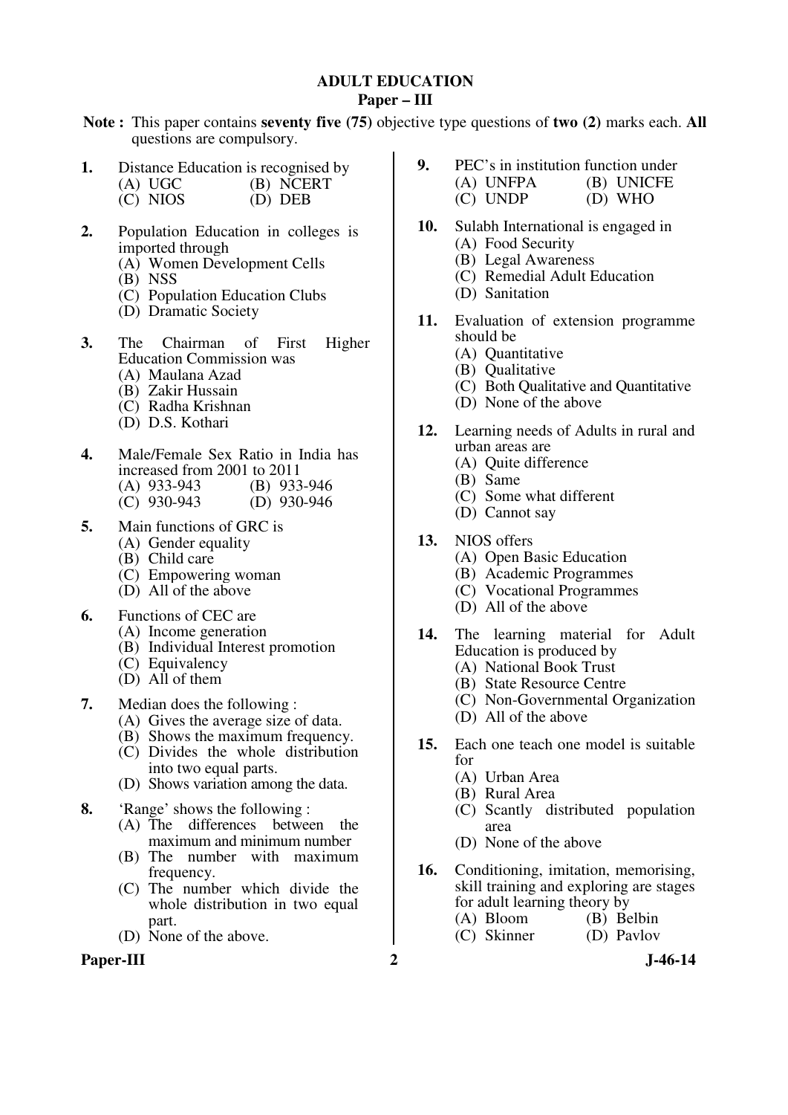#### **ADULT EDUCATION Paper – III**

**Note :** This paper contains **seventy five (75)** objective type questions of **two (2)** marks each. **All** questions are compulsory.

- **1.** Distance Education is recognised by (A) UGC (B) NCERT<br>(C) NIOS (D) DEB
	- $(C)$  NIOS
- **2.** Population Education in colleges is imported through
	- (A) Women Development Cells
	- (B) NSS
	- (C) Population Education Clubs
	- (D) Dramatic Society
- **3.** The Chairman of First Higher Education Commission was
	- (A) Maulana Azad
	- (B) Zakir Hussain
	- (C) Radha Krishnan
	- (D) D.S. Kothari
- **4.** Male/Female Sex Ratio in India has increased from 2001 to 2011<br>(A) 933-943 (B) 933-946
	- (A) 933-943<br>(C) 930-943
	- (C) 930-943 (D) 930-946
- **5.** Main functions of GRC is
	- (A) Gender equality
	- (B) Child care
	- (C) Empowering woman
	- (D) All of the above
- **6.** Functions of CEC are
	- (A) Income generation
	- (B) Individual Interest promotion
	- (C) Equivalency
	- $(D)$  All of them
- **7.** Median does the following :
	- (A) Gives the average size of data.
	- (B) Shows the maximum frequency.
	- (C) Divides the whole distribution into two equal parts.
	- (D) Shows variation among the data.
- **8.** 'Range' shows the following :
	- (A) The differences between the maximum and minimum number
	- (B) The number with maximum frequency.
	- (C) The number which divide the whole distribution in two equal part.
	- (D) None of the above.

#### Paper-III 2 J-46-14

- **9.** PEC's in institution function under (A) UNFPA (B) UNICFE<br>
(C) UNDP (D) WHO
	- $(C)$  UNDP
- **10.** Sulabh International is engaged in (A) Food Security
	- (B) Legal Awareness
	- (C) Remedial Adult Education
	- (D) Sanitation
- **11.** Evaluation of extension programme should be
	- (A) Quantitative
	- (B) Qualitative
	- (C) Both Qualitative and Quantitative
	- (D) None of the above
- **12.** Learning needs of Adults in rural and urban areas are
	- (A) Quite difference
	- (B) Same
	- (C) Some what different
	- (D) Cannot say
- **13.** NIOS offers
	- (A) Open Basic Education
	- (B) Academic Programmes
	- (C) Vocational Programmes
	- (D) All of the above
- **14.** The learning material for Adult Education is produced by
	- (A) National Book Trust
	- (B) State Resource Centre
	- (C) Non-Governmental Organization
	- (D) All of the above
- **15.** Each one teach one model is suitable for
	- (A) Urban Area
	- (B) Rural Area
	- (C) Scantly distributed population area
	- (D) None of the above
- **16.** Conditioning, imitation, memorising, skill training and exploring are stages for adult learning theory by<br>(A) Bloom (B) Be
	- (B) Belbin<br>(D) Paylov
	- $(C)$  Skinner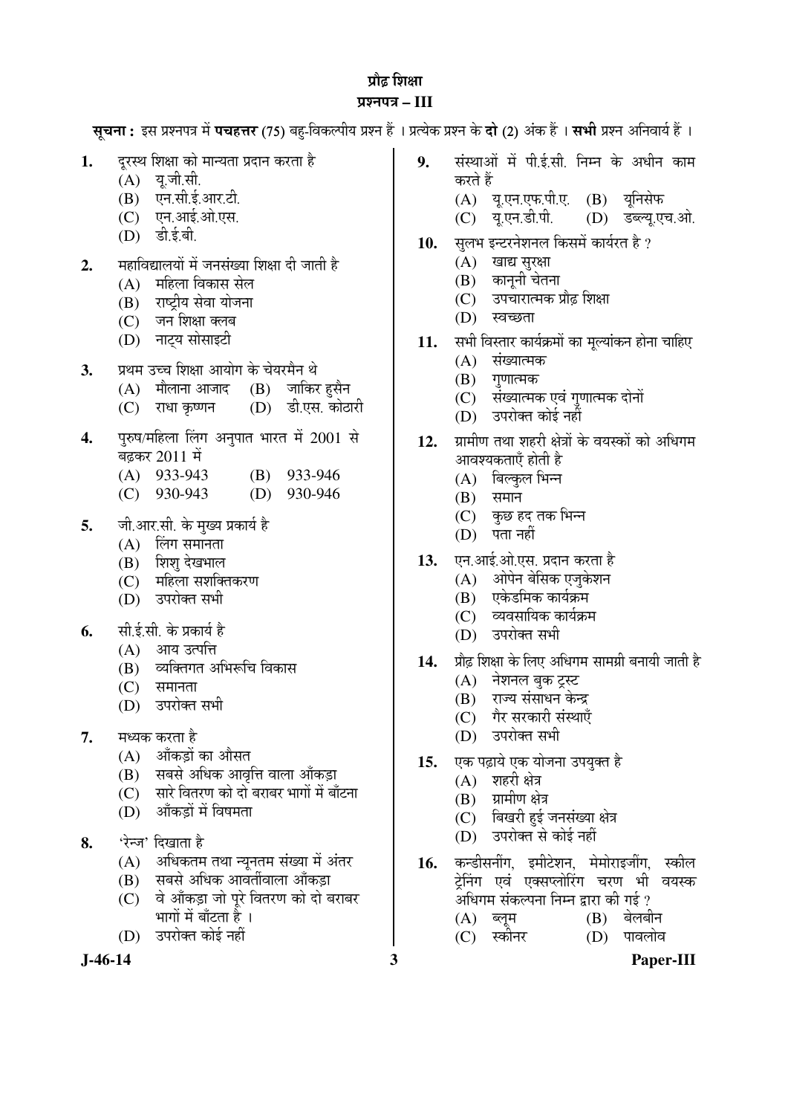## प्रौढ़ शिक्षा ¯ÖÏ¿®Ö¯Ö¡Ö **– III**

|          | <b>सूचना :</b> इस प्रश्नपत्र में <b>पचहत्तर</b> (75) बहु-विकल्पीय प्रश्न हैं । प्रत्येक प्रश्न के <b>दो</b> (2) अंक हैं । <b>सभी</b> प्रश्न अनिवार्य हैं ।                        |            |                                                                                                                                                                                                   |
|----------|-----------------------------------------------------------------------------------------------------------------------------------------------------------------------------------|------------|---------------------------------------------------------------------------------------------------------------------------------------------------------------------------------------------------|
| 1.       | दूरस्थ शिक्षा को मान्यता प्रदान करता है<br>(A) यू.जी.सी.<br>(B) एन.सी.ई.आर.टी.<br>(C) एन.आई.ओ.एस.<br>(D) डी.ई.बी.                                                                 | 9.         | संस्थाओं में पी.ई.सी. निम्न के अधीन काम<br>करते हैं<br>(A) यू.एन.एफ.पी.ए. (B) यूनिसेफ<br>यू.एन.डी.पी. (D) डब्ल्यू.एच.ओ.<br>(C)                                                                    |
| 2.       | महाविद्यालयों में जनसंख्या शिक्षा दी जाती है<br>महिला विकास सेल<br>(A)<br>राष्ट्रीय सेवा योजना<br>(B)<br>(C) जन शिक्षा क्लब<br>(D) नाट्य सोसाइटी                                  | 10.<br>11. | सुलभ इन्टरनेशनल किसमें कार्यरत है ?<br>(A)<br>खाद्य सुरक्षा<br>(B) कानूनी चेतना<br>(C) उपचारात्मक प्रौढ़ शिक्षा<br>स्वच्छता<br>(D)<br>सभी विस्तार कार्यक्रमों का मूल्यांकन होना चाहिए             |
| 3.       | प्रथम उच्च शिक्षा आयोग के चेयरमैन थे<br>(A) मौलाना आजाद (B) जाकिर हुसैन<br>(D) डी.एस. कोठारी<br>राधा कृष्णन<br>(C)                                                                |            | संख्यात्मक<br>(A)<br>गुणात्मक<br>(B)<br>(C) संख्यात्मक एवं गुणात्मक दोनों<br>उपरोक्त कोई नहीं<br>(D)                                                                                              |
| 4.       | पुरुष/महिला लिंग अनुपात भारत में 2001 से<br>बढ़कर 2011 में<br>(A) 933-943 (B) 933-946<br>930-943<br>930-946<br>(D)<br>(C)                                                         | 12.        | ग्रामीण तथा शहरी क्षेत्रों के वयस्कों को अधिगम<br>आवश्यकताएँ होती है<br>बिल्कुल भिन्न<br>(A)<br>समान<br>(B)                                                                                       |
| 5.       | जी.आर.सी. के मुख्य प्रकार्य है<br>लिंग समानता<br>(A)<br>(B) शिशु देखभाल<br>महिला सशक्तिकरण<br>(C)<br>उपरोक्त सभी<br>(D)                                                           | 13.        | (C) कुछ हद तक भिन्न<br>पता नहीं<br>(D)<br>एन.आई.ओ.एस. प्रदान करता है<br>(A) ओपेन बेसिक एजुकेशन<br>एकेडमिक कार्यक्रम<br>(B)<br>(C) व्यवसायिक कार्यक्रम                                             |
| 6.<br>7. | सी.ई.सी. के प्रकार्य है<br>(A) आय उत्पत्ति<br>(B) व्यक्तिगत अभिरूचि विकास<br>(C)<br>समानता<br>(D) उपरोक्त सभी<br>मध्यक करता है                                                    | 14.        | (D) उपरोक्त सभी<br>प्रौढ़ शिक्षा के लिए अधिगम सामग्री बनायी जाती है<br>(A) नेशनल बुक ट्रस्ट<br>राज्य संसाधन केन्द्र<br>(B)<br>(C) गैर सरकारी संस्थाएँ<br>उपरोक्त सभी<br>(D)                       |
| 8.       | आँकड़ों का औसत<br>(A)<br>सबसे अधिक आवृत्ति वाला आँकड़ा<br>(B)<br>सारे वितरण को दो बराबर भागों में बाँटना<br>(C)<br>आँकड़ों में विषमता<br>(D)<br>'रेन्ज' दिखाता है                 | 15.        | एक पढ़ाये एक योजना उपयुक्त है<br>शहरी क्षेत्र<br>(A)<br>ग्रामीण क्षेत्र<br>(B)<br>बिखरी हुई जनसंख्या क्षेत्र<br>(C)<br>उपरोक्त से कोई नहीं<br>(D)                                                 |
|          | अधिकतम तथा न्यूनतम संख्या में अंतर<br>(A)<br>सबसे अधिक आवर्तीवाला आँकड़ा<br>(B)<br>वे आँकड़ा जो पूरे वितरण को दो बराबर<br>(C)<br>भागों में बाँटता है ।<br>उपरोक्त कोई नहीं<br>(D) | 16.        | कन्डीसनींग, इमीटेशन, मेमोराइजींग,<br>स्कील<br>ट्रेनिंग एवं एक्सप्लोरिंग चरण भी<br>वयस्क<br>अधिगम संकल्पना निम्न द्वारा की गई ?<br>बेलबीन<br>(B)<br>(A)<br>ब्लूम<br>स्कीनर<br>पावलोव<br>(C)<br>(D) |

**J-46-14 3 Paper-III**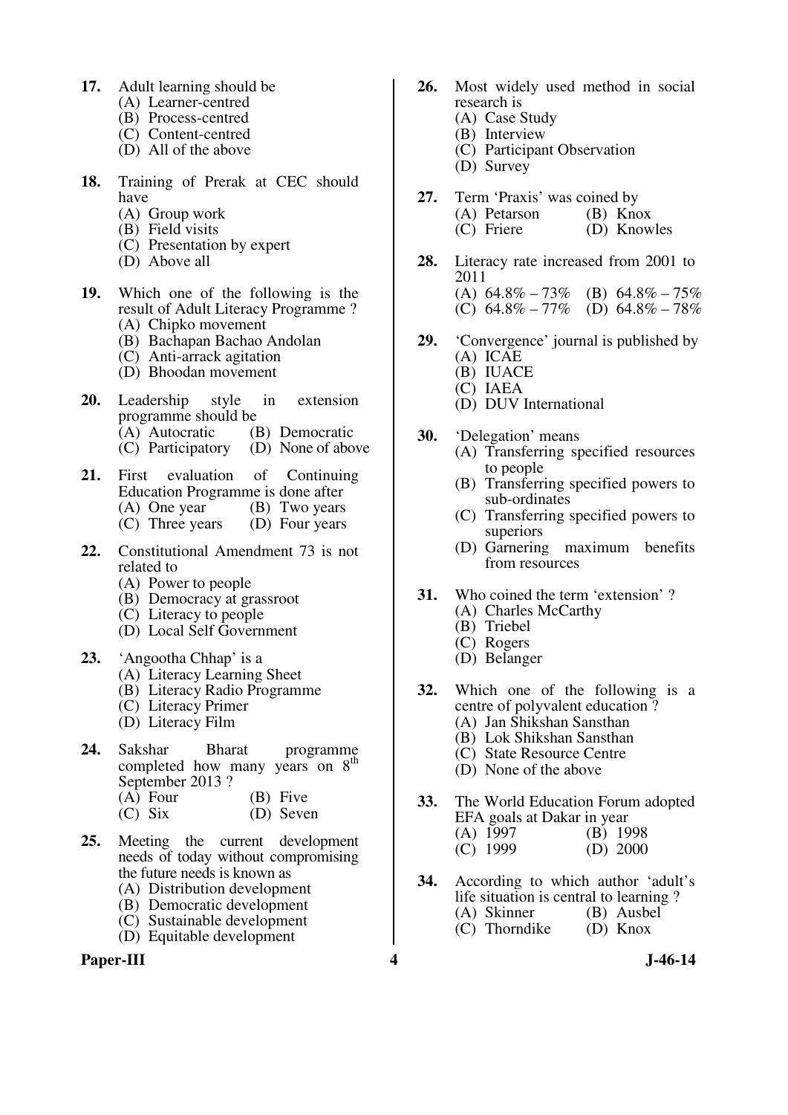- **17.** Adult learning should be
	- (A) Learner-centred
	- (B) Process-centred
	- (C) Content-centred
	- (D) All of the above
- **18.** Training of Prerak at CEC should have
	- (A) Group work
	- (B) Field visits
	- (C) Presentation by expert
	- (D) Above all
- **19.** Which one of the following is the result of Adult Literacy Programme ?
	- (A) Chipko movement
	- (B) Bachapan Bachao Andolan
	- (C) Anti-arrack agitation
	- (D) Bhoodan movement
- **20.** Leadership style in extension programme should be<br>(A) Autocratic (B) Democratic
	- (A) Autocratic (B) Democratic<br>(C) Participatory (D) None of above
	- $(C)$  Participatory
- **21.** First evaluation of Continuing Education Programme is done after (A) One year (B) Two years
	- (C) Three years (D) Four years
- **22.** Constitutional Amendment 73 is not related to
	- (A) Power to people
	- (B) Democracy at grassroot
	- (C) Literacy to people
	- (D) Local Self Government
- **23.** 'Angootha Chhap' is a
	- (A) Literacy Learning Sheet
	- (B) Literacy Radio Programme
	- (C) Literacy Primer
	- (D) Literacy Film
- 24. Sakshar Bharat programme completed how many years on  $8<sup>th</sup>$ September 2013 ? (A) Four (B) Five
	- (C) Six (D) Seven
- **25.** Meeting the current development needs of today without compromising the future needs is known as
	- (A) Distribution development
	- (B) Democratic development
	- (C) Sustainable development
	- (D) Equitable development

## Paper-III 3-46-14

- **26.** Most widely used method in social research is
	- (A) Case Study
	- (B) Interview
	- (C) Participant Observation
	- (D) Survey
- **27.** Term 'Praxis' was coined by<br>
(A) Petarson (B) Knox
	- $(A)$  Petarson<br> $(C)$  Friere (D) Knowles
- **28.** Literacy rate increased from 2001 to 2011 (A)  $64.8\% - 73\%$  (B)  $64.8\% - 75\%$ <br>(C)  $64.8\% - 77\%$  (D)  $64.8\% - 78\%$ (D)  $64.8\% - 78\%$
- **29.** 'Convergence' journal is published by (A) ICAE
	- (B) IUACE
	- (C) IAEA
	- (D) DUV International
- **30.** 'Delegation' means
	- (A) Transferring specified resources to people
	- (B) Transferring specified powers to sub-ordinates
	- (C) Transferring specified powers to superiors
	- (D) Garnering maximum benefits from resources
- **31.** Who coined the term 'extension' ?
	- (A) Charles McCarthy
		- (B) Triebel
		- (C) Rogers
		- (D) Belanger
- **32.** Which one of the following is a centre of polyvalent education ?
	- (A) Jan Shikshan Sansthan
	- (B) Lok Shikshan Sansthan
	- (C) State Resource Centre
	- (D) None of the above
- **33.** The World Education Forum adopted EFA goals at Dakar in year<br>(A) 1997 (B) 1998  $(A)$  1997<br>(C) 1999  $(D) 2000$
- **34.** According to which author 'adult's life situation is central to learning ?<br>(A) Skinner (B) Ausbel (A) Skinner (B) Ausbe<br>
(C) Thorndike (D) Knox  $(C)$  Thorndike
	-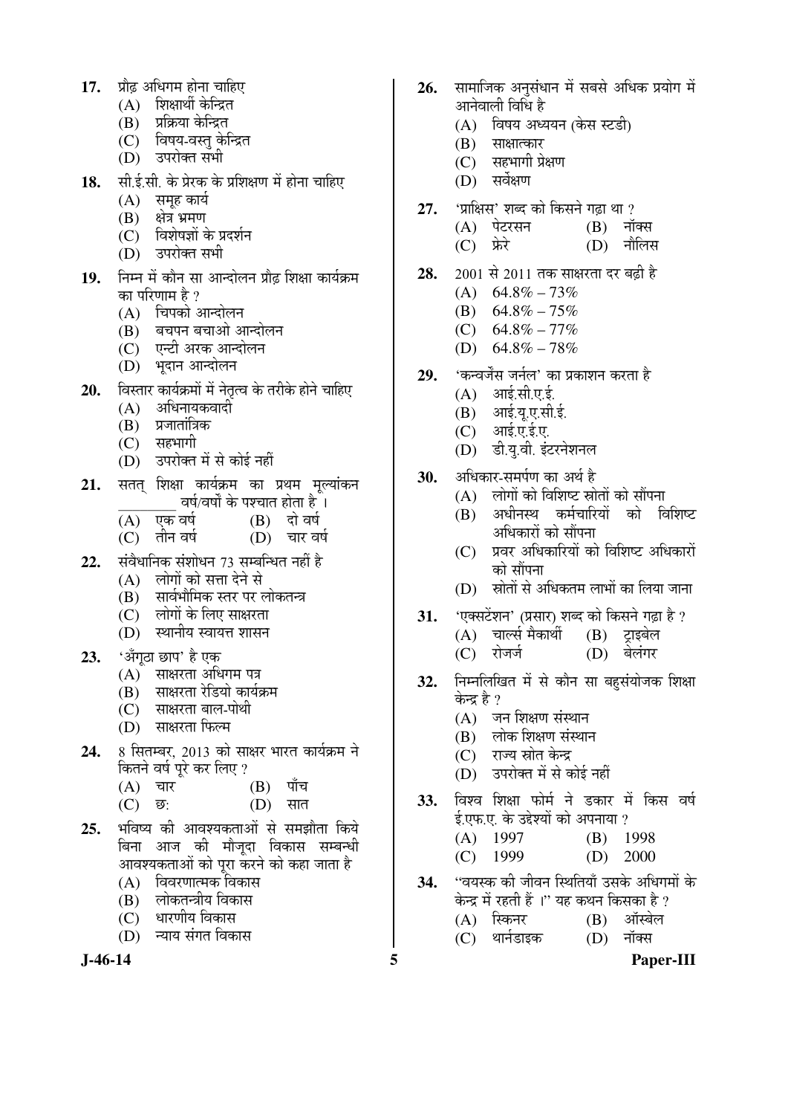- 17. प्रौढ अधिगम होना चाहिए
	- $(A)$  शिक्षार्थी केन्द्रित
	- (B) प्रक्रिया केन्द्रित
	- (C) विषय-वस्त केन्द्रित
	- $(D)$  उपरोक्त सभी
- 18. सी.ई.सी. के प्रेरक के प्रशिक्षण में होना चाहिए
	- $(A)$  समह कार्य
	- $(B)$  क्षेत्र भ्रमण
	- $(C)$  विशेषज्ञों के प्रदर्शन
	- (D) उपरोक्त सभी
- 19. निम्न में कौन सा आन्दोलन प्रौढ़ शिक्षा कार्यक्रम का परिणाम है ?
	- $(A)$  चिपको आन्दोलन
	- $(B)$  बचपन बचाओ आन्दोलन
	- (C) एन्टी अरक आन्दोलन
	- (D) भदान आन्दोलन
- **20.** विस्तार कार्यक्रमों में नेतृत्व के तरीके होने चाहिए
	- $(A)$  अधिनायकवादी
	- (B) प्रजातांत्रिक<br>(C) सहभागी
	- सहभागी
	- (D) उपरोक्त में से कोई नहीं
- 21. सतत शिक्षा कार्यक्रम का प्रथम मुल्यांकन \_\_\_\_\_\_\_\_ ¾ÖÂÖÔ/¾ÖÂÖÖí Ûêú ¯Ö¿"ÖÖŸÖ ÆüÖêŸÖÖ Æîü …
	- $\overline{(A)}$  एक वर्ष  $(B)$  दो वर्ष<br>(C) तीन वर्ष  $(D)$  चार वर्ष
	- $(C)$  तीन वर्ष
- 22. संवैधानिक संशोधन 73 सम्बन्धित नहीं है
	- $(A)$  लोगों को सत्ता देने से
	- (B) सार्वभौमिक स्तर पर लोकतन्त्र
	- (C) लोगों के लिए साक्षरता
	- (D) स्थानीय स्वायत्त शासन
- 23. 'अँगुठा छाप' है एक
	- (A) साक्षरता अधिगम पत्र<br>(B) साक्षरता रेडियो कार्यः
	- साक्षरता रेडियो कार्यक्रम
	- (C) साक्षरता बाल-पोथी
	- (D) साक्षरता फिल्म
- 24. 8 सितम्बर, 2013 को साक्षर भारत कार्यक्रम ने कितने वर्ष पूरे कर लिए ?<br>(A) =चार
	- $(B)$  पाँच
	- (C) छ: (D) सात
- 25. भविष्य की आवश्यकताओं से समझौता किये बिना आज की मौजुदा विकास सम्बन्धी आवश्यकताओं को परा करने को कहा जाता है
	- $(A)$  विवरणात्मक विकास
	- (B) लोकतन्त्रीय विकास
	- (C) धारणीय विकास
	- $(D)$  न्याय संगत विकास

- 26. सामाजिक अनसंधान में सबसे अधिक प्रयोग में आनेवाली विधि है
	- (A) विषय अध्ययन (केस स्टडी)
	- $(B)$  साक्षात्कार
	- $(C)$  सहभागी प्रेक्षण
	- (D) सर्वेक्षण
- 27. 'प्राक्षिस' शब्द को किसने गढ़ा था ?
	- (A) पेटरसन (B) नॉक्स<br>(C) फ्रेरे (D) नौलिर
		- $(D)$  नौलिस
- **28.** 2001 से 2011 तक साक्षरता दर बढ़ी है
	- $(A)$  64.8% 73%
	- (B)  $64.8\% 75\%$
	- $(C)$  64.8% 77%
	- (D)  $64.8\% 78\%$
- 29. <u>'कन्वर्जेंस जर्नल' का प्रकाशन करता है</u>
	- $(A)$  आई.सी.ए.ई.
	- $(B)$  आई.य.ए.सी.ई.
	- $(C)$  आई.ए.ई.ए.
	- (D) डी.य.वी. इंटरनेशनल
- 30. ¥अधिकार-समर्पण का अर्थ है
	- $(A)$  लोगों को विशिष्ट स्रोतों को सौंपना
	- (B) अधीनस्थ कर्मचारियों को विशिष्ट अधिकारों को सौंपना
	- $(C)$  प्रवर अधिकारियों को विशिष्ट अधिकारों को सौंपना
	- (D) स्रोतों से अधिकतम लाभों का लिया जाना
- 31. 'एक्सटेंशन' (प्रसार) शब्द को किसने गढ़ा है ?
	- (A) "ÖÖ»ÃÖÔ ´ÖîÛúÖ£Öá (B) ™ÒüÖ‡²Öê»Ö
	- $(C)$  रोजर्ज
- 32. निम्नलिखित में से कौन सा बहसंयोजक शिक्षा केन्द्र है ?
	- $(A)$  जन शिक्षण संस्थान
	- (B) लोक शिक्षण संस्थान
	- (C) राज्य स्रोत केन्द्र
	- (D) उपरोक्त में से कोई नहीं
- **33.** विश्व शिक्षा फोर्म ने डकार में किस वर्ष  $\xi$ .एफ.ए. के उद्देश्यों को अपनाया ?
	- (A) 1997 (B) 1998
	- (C) 1999 (D) 2000
- 34. **"वयस्क की जीवन स्थितियाँ उसके अधिगमों** के
	- केन्द्र में रहती हैं ।'' यह कथन किसका है ?<br>(A) स्किनर (B) ऑस्बेल (B) ऑस्बेल
	- (C) थार्नडाइक (D) नॉक्स
- 

**J-46-14 5 Paper-III**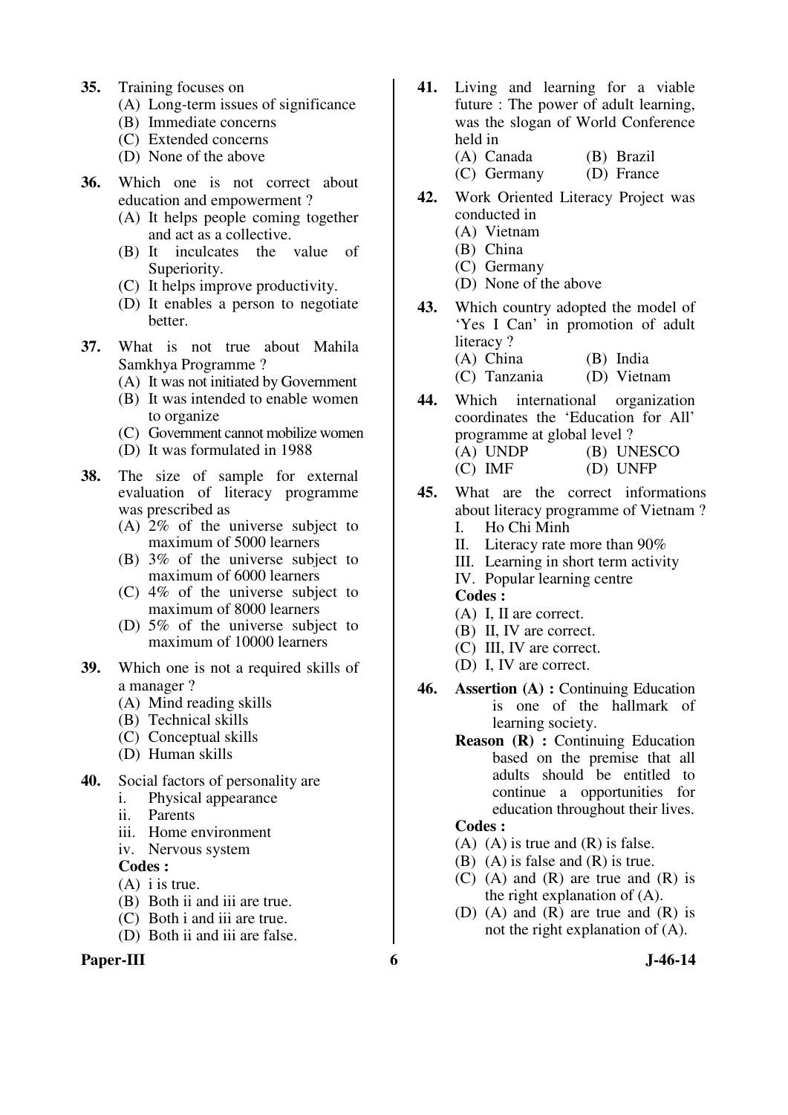- **35.** Training focuses on
	- (A) Long-term issues of significance
	- (B) Immediate concerns
	- (C) Extended concerns
	- (D) None of the above
- **36.** Which one is not correct about education and empowerment ?
	- (A) It helps people coming together and act as a collective.
	- (B) It inculcates the value of Superiority.
	- (C) It helps improve productivity.
	- (D) It enables a person to negotiate better.
- **37.** What is not true about Mahila Samkhya Programme ?
	- (A) It was not initiated by Government
	- (B) It was intended to enable women to organize
	- (C) Government cannot mobilize women
	- (D) It was formulated in 1988
- **38.** The size of sample for external evaluation of literacy programme was prescribed as
	- (A) 2% of the universe subject to maximum of 5000 learners
	- (B) 3% of the universe subject to maximum of 6000 learners
	- (C) 4% of the universe subject to maximum of 8000 learners
	- (D) 5% of the universe subject to maximum of 10000 learners
- **39.** Which one is not a required skills of a manager ?
	- (A) Mind reading skills
	- (B) Technical skills
	- (C) Conceptual skills
	- (D) Human skills
- **40.** Social factors of personality are
	- i. Physical appearance
	- ii. Parents
	- iii. Home environment
	- iv. Nervous system

#### **Codes :**

- (A) i is true.
- (B) Both ii and iii are true.
- (C) Both i and iii are true.
- (D) Both ii and iii are false.

## Paper-III 6 **J**-46-14

- **41.** Living and learning for a viable future : The power of adult learning, was the slogan of World Conference held in
	- (A) Canada (B) Brazil (C) Germany (D) France
- **42.** Work Oriented Literacy Project was conducted in
	- (A) Vietnam
	- (B) China
	- (C) Germany
	- (D) None of the above
- **43.** Which country adopted the model of 'Yes I Can' in promotion of adult literacy? (A) China (B) India
	- (C) Tanzania (D) Vietnam
- **44.** Which international organization coordinates the 'Education for All' programme at global level ? (A) UNDP (B) UNESCO (C) IMF (D) UNFP
- **45.** What are the correct informations about literacy programme of Vietnam ? I. Ho Chi Minh
	- II. Literacy rate more than 90%
	- III. Learning in short term activity
	- IV. Popular learning centre
	- **Codes :**
	- (A) I, II are correct.
	- (B) II, IV are correct.
	- (C) III, IV are correct.
	- (D) I, IV are correct.
- **46. Assertion (A) :** Continuing Education is one of the hallmark of learning society.
	- **Reason (R) :** Continuing Education based on the premise that all adults should be entitled to continue a opportunities for education throughout their lives.

#### **Codes :**

- $(A)$   $(A)$  is true and  $(R)$  is false.
- (B) (A) is false and (R) is true.
- $(C)$  (A) and  $(R)$  are true and  $(R)$  is the right explanation of (A).
- (D) (A) and (R) are true and (R) is not the right explanation of (A).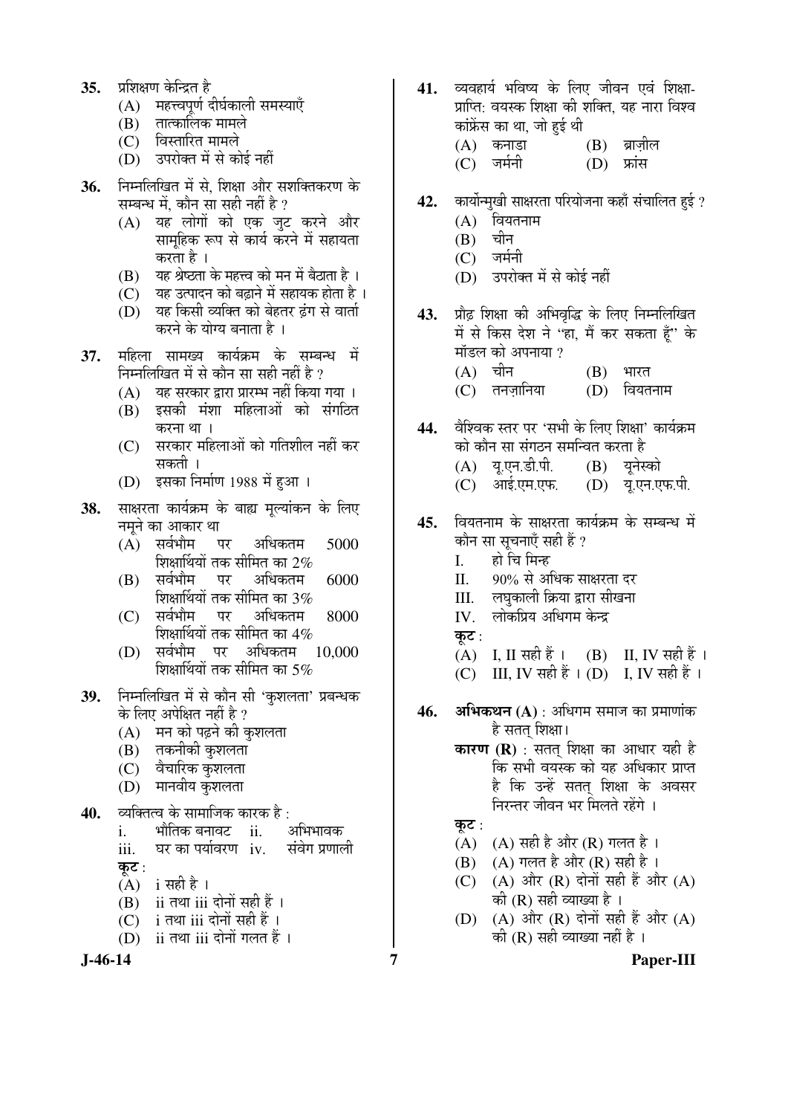- 35. प्रशिक्षण केन्द्रित है
	- (A) महत्त्वपूर्ण दीर्घकाली समस्याएँ
	- $(B)$  तात्कालिक मामले
	- (C) विस्तारित मामले
	- (D) उपरोक्त में से कोई नहीं
- 36. Fiम्नलिखित में से. शिक्षा और सशक्तिकरण के सम्बन्ध में, कौन सा सही नहीं है ?
	- (A) यह लोगों को एक जुट करने और सामहिक रूप से कार्य करने में सहायता करता है ।
	- $(B)$  यह श्रेष्ठता के महत्त्व को मन में बैठाता है।
	- $(C)$  यह उत्पादन को बढ़ाने में सहायक होता है।
	- (D) यह किसी व्यक्ति को बेहतर ढंग से वार्ता करने के योग्य बनाता है ।
- 37. महिला सामख्य कार्यक्रम के सम्बन्ध में निम्नलिखित में से कौन सा सही नहीं है ?
	- (A) यह सरकार द्वारा प्रारम्भ नहीं किया गया ।
	- (B) इसकी मंशा महिलाओं को संगठित करना था।
	- (C) सरकार महिलाओं को गतिशील नहीं कर सकती ।
	- (D) इसका निर्माण 1988 में हुआ ।
- 38. साक्षरता कार्यक्रम के बाह्य मुल्यांकन के लिए नमूने का आकार था<br>(A) सर्वभौम पर
	- $(A)$  सर्वभौम पर अधिकतम 5000 शिक्षार्थियों तक सीमित का 2%<br>सर्वभौम पर अधिकतम
	- $(B)$  सर्वभौम पर अधिकतम  $6000$ शिक्षार्थियों तक सीमित का 3%<br>सर्वभौम पर अधिकतम
	- (C) सर्वभौम पर अधिकतम 8000 शिक्षार्थियों तक सीमित का 4%<br>सर्वभौम पर अधिकतम 10.000
	- (D) सर्वभौम पर अधिकतम शिक्षार्थियों तक सीमित का 5%
- 39. ਜਿਸਕਿਯਿਕ ਸੇਂ से कौन सी 'कशलता' प्रबन्धक के लिए अपेक्षित नहीं है ?
	- $(A)$  मन को पढने की कशलता
	- $(B)$  तकनीकी कशलता
	- $(C)$  वैचारिक कुशलता
	- (D) मानवीय कुशलता
- **40.** व्यक्तित्व के सामाजिक कारक है:
	- i. भौतिक बनावट ii. अभिभावक<br>iii. घर का पर्यावरण iv. संवेग प्रणाली iii. घर का पर्यावरण iv.
	- कट $:$
	- $(A)$  i सही है ।
	- $(B)$  ii तथा iii दोनों सही हैं ।
	- $(C)$  i तथा iii दोनों सही हैं।
	- (D) ii तथा iii दोनों गलत हैं।

**J-46-14 7 Paper-III**

- 41. व्यवहार्य भविष्य के लिए जीवन एवं शिक्षा-प्राप्ति: वयस्क शिक्षा की शक्ति, यह नारा विश्व कांफ्रेंस का था, जो हई थी
	- (A) Ûú®ÖÖ›üÖ (B) ²ÖÎÖ•ÖÌß»Ö
	- $(C)$  जर्मनी
- 42. कार्योन्मुखी साक्षरता परियोजना कहाँ संचालित हुई ?
	- $(A)$  वियतनाम<br> $(B)$  चीन
	- $(B)$
	- $(C)$  जर्मनी
	- (D) उपरोक्त में से कोई नहीं
- 43. प्रौढ शिक्षा की अभिवृद्धि के लिए निम्नलिखित में से किस देश ने ''हा, मैं कर सकता हैं'' के मॉडल को अपनाया ?
	- $(A)$  चीन  $(B)$  भारत<br>(C) तनजानिया  $(D)$  वियतनाम  $(C)$  तनज़ानिया
- 44. वैश्विक स्तर पर 'सभी के लिए शिक्षा' कार्यक्रम को कौन सा संगठन समन्वित करता है (A) यू.एन.डी.पी. (B) यूनेस्को
	- (C) आई.एम.एफ. (D) यू.एन.एफ.पी.
- 45. वियतनाम के साक्षरता कार्यक्रम के सम्बन्ध में कौन सा सूचनाएँ सही हैं ?
	- I. हो चि मिन्ह
	- II. 90% से अधिक साक्षरता दर
	- III. लघुकाली क्रिया द्वारा सीखना<br>IV. लोकप्रिय अधिगम केन्द्र
	- लोकप्रिय अधिगम केन्द्र
	- कट $:$
	- $(A)$  I, II सही हैं ।  $(B)$  II, IV सही हैं ।
	- (C) III, IV सही हैं । (D) I, IV सही हैं ।
- **46. अभिकथन (A)** : अधिगम समाज का प्रमाणांक है सतत शिक्षा।
	- **कारण (R)** : सतत शिक्षा का आधार यही है कि सभी वयस्क को यह अधिकार प्राप्त है कि उन्हें सतत शिक्षा के अवसर निरन्तर जीवन भर मिलते रहेंगे ।
		- कट $:$
		- (A)  $(A)$  सही है और (R) गलत है ।
		- (B) (A) गलत है और (R) सही है ।
		- (C)  $(A)$  और  $(R)$  दोनों सही हैं और  $(A)$ की  $(R)$  सही व्याख्या है ।
		- (D)  $(A)$  और  $(R)$  दोनों सही हैं और  $(A)$ की  $(R)$  सही व्याख्या नहीं है ।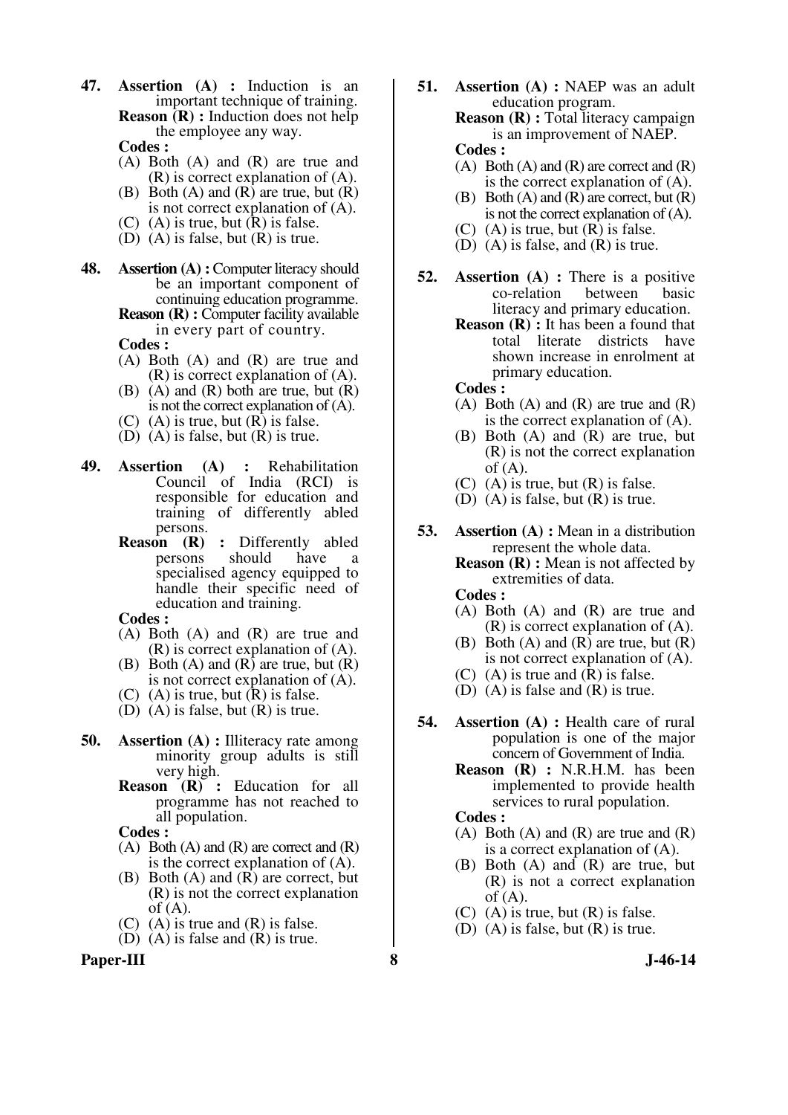**47. Assertion (A) :** Induction is an important technique of training. **Reason (R) :** Induction does not help the employee any way.

 **Codes :** 

- (A) Both (A) and (R) are true and  $(R)$  is correct explanation of  $(A)$ .
- $(B)$  Both  $(A)$  and  $(R)$  are true, but  $(R)$ is not correct explanation of (A).
- (C) (A) is true, but  $(R)$  is false.
- (D) (A) is false, but (R) is true.
- **48. Assertion (A) :** Computer literacy should be an important component of continuing education programme. **Reason (R) :** Computer facility available

in every part of country.

 **Codes :** 

- (A) Both (A) and (R) are true and (R) is correct explanation of (A).
- (B) (A) and (R) both are true, but (R) is not the correct explanation of (A).
- $(C)$  (A) is true, but  $(R)$  is false.
- (D)  $(A)$  is false, but  $(R)$  is true.
- **49. Assertion (A) :** Rehabilitation Council of India (RCI) is responsible for education and training of differently abled persons.
	- **Reason (R)** : Differently abled<br>persons should have a persons should have a specialised agency equipped to handle their specific need of education and training.

 **Codes :** 

- (A) Both (A) and (R) are true and (R) is correct explanation of (A).
- $(B)$  Both  $(A)$  and  $(R)$  are true, but  $(R)$ is not correct explanation of (A).
- (C) (A) is true, but  $(R)$  is false.
- (D)  $(A)$  is false, but  $(R)$  is true.
- **50. Assertion (A) :** Illiteracy rate among minority group adults is still very high.
	- **Reason (R) :** Education for all programme has not reached to all population.

 **Codes :** 

- $(A)$  Both  $(A)$  and  $(R)$  are correct and  $(R)$ is the correct explanation of (A).
- (B) Both (A) and (R) are correct, but (R) is not the correct explanation of (A).
- (C)  $(A)$  is true and  $(R)$  is false.
- (D) (A) is false and (R) is true.

**Paper-III 8 J-46-14**

**51. Assertion (A) :** NAEP was an adult education program. **Reason (R) :** Total literacy campaign is an improvement of NAEP.

#### **Codes :**

- $(A)$  Both  $(A)$  and  $(R)$  are correct and  $(R)$ is the correct explanation of (A).
- (B) Both  $(A)$  and  $(R)$  are correct, but  $(R)$ is not the correct explanation of (A).
- (C)  $(A)$  is true, but  $(R)$  is false.
- (D) (A) is false, and (R) is true.
- **52. Assertion (A) :** There is a positive co-relation between basic literacy and primary education.
	- **Reason (R) :** It has been a found that total literate districts have shown increase in enrolment at primary education.

 **Codes :** 

- $(A)$  Both  $(A)$  and  $(R)$  are true and  $(R)$ is the correct explanation of (A).
- (B) Both (A) and (R) are true, but (R) is not the correct explanation of  $(A)$ .
- (C) (A) is true, but  $(R)$  is false.
- $(D)$   $(A)$  is false, but  $(R)$  is true.
- **53. Assertion (A) :** Mean in a distribution represent the whole data.

**Reason (R) :** Mean is not affected by extremities of data.

- **Codes :**
- (A) Both (A) and (R) are true and (R) is correct explanation of (A).
- (B) Both  $(A)$  and  $(R)$  are true, but  $(R)$ is not correct explanation of (A).
- (C) (A) is true and  $(R)$  is false.
- (D) (A) is false and (R) is true.
- **54. Assertion (A) :** Health care of rural population is one of the major concern of Government of India.
	- **Reason (R) :** N.R.H.M. has been implemented to provide health services to rural population.

 **Codes :** 

- (A) Both (A) and (R) are true and  $(R)$ is a correct explanation of (A).
- (B) Both (A) and (R) are true, but (R) is not a correct explanation  $of (A).$
- $(C)$  (A) is true, but  $(R)$  is false.
- (D) (A) is false, but (R) is true.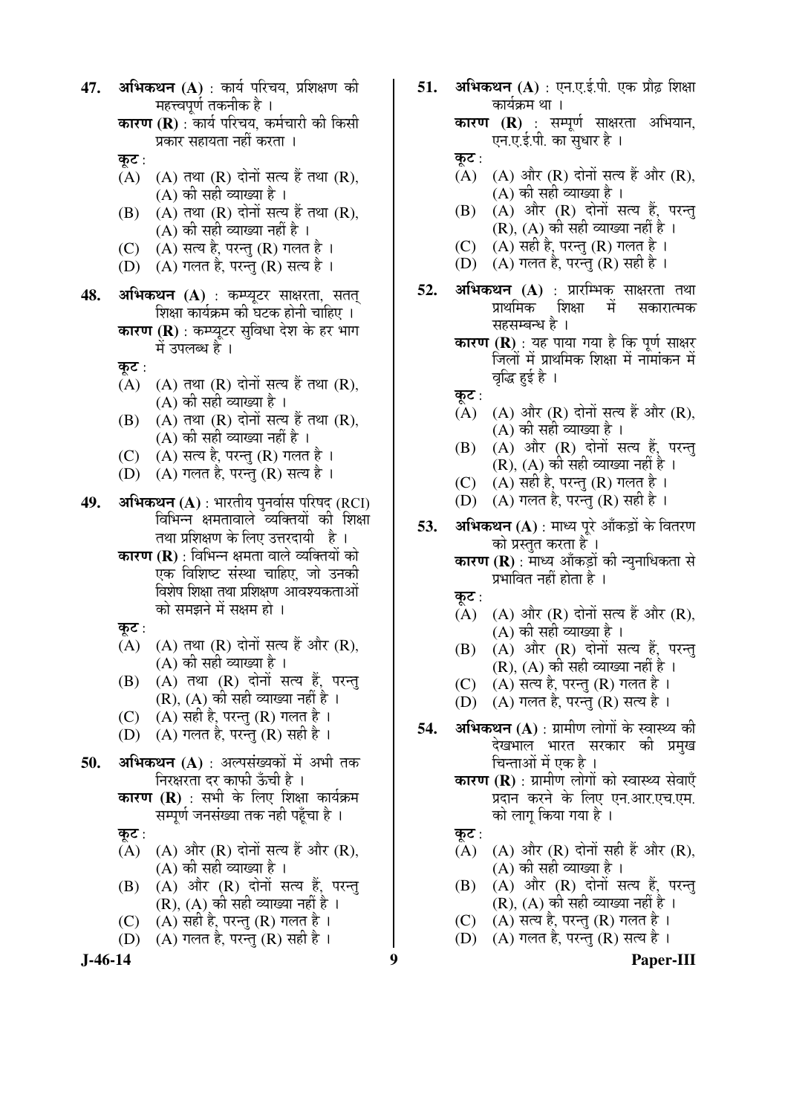**J-46-14 9 Paper-III 47. अभिकथन (A)** : कार्य परिचय, प्रशिक्षण की महत्त्वपूर्ण तकनीक है । **कारण (R)** : कार्य परिचय, कर्मचारी की किसी प्रकार सहायता नहीं करता । कुट $:$  $(A)$   $(A)$   $\overline{d}$   $\overline{d}$   $\overline{R}$   $\overline{d}$   $\overline{d}$   $\overline{d}$   $\overline{d}$   $\overline{d}$   $\overline{d}$   $\overline{R}$   $\overline{d}$   $\overline{d}$   $\overline{R}$   $\overline{d}$   $\overline{d}$   $\overline{d}$   $\overline{d}$   $\overline{d}$   $\overline{d}$   $\overline{d}$   $\overline{d}$   $\overline{d}$   $\overline{d}$   $\overline$  $(A)$  की सही व्याख्या है ।  $(B)$   $(A)$  तथा  $(R)$  दोनों सत्य हैं तथा  $(R)$ ,  $(A)$  की सही व्याख्या नहीं है । (C)  $(A)$  सत्य है, परन्तु (R) गलत है। (D)  $(A)$  गलत है, परन्तु (R) सत्य है । **48. अभिकथन (A)** : कम्प्युटर साक्षरता, सतत शिक्षा कार्यक्रम की घटक होनी चाहिए । **कारण (R)** : कम्प्यटर सविधा देश के हर भाग में उपलब्ध है । कूट :  $(A)$   $(A)$  तथा  $(R)$  दोनों सत्य हैं तथा  $(R)$ , (A) की सही व्याख्या है ।  $(B)$   $(A)$  तथा  $(R)$  दोनों सत्य हैं तथा  $(R)$ ,  $(A)$  की सही व्याख्या नहीं है ।  $(C)$   $(A)$  सत्य है, परन्तु  $(R)$  गलत है । (D)  $(A)$  गलत है, परन्तु (R) सत्य है । 49. **अभिकथन (A)** : भारतीय पुनर्वास परिषद (RCI) विभिन्न क्षमतावाले व्यक्तियों की शिक्षा तथा प्रशिक्षण के लिए उत्तरदायी है। **कारण (R)** : विभिन्न क्षमता वाले व्यक्तियों को एक विशिष्ट संस्था चाहिए. जो उनकी विशेष शिक्षा तथा प्रशिक्षण आवश्यकताओं को समझने में सक्षम हो । कूट :  $(A)$   $(A)$   $\overline{d}$  $\overline{d}$   $(R)$   $\overline{d}$   $\overline{d}$  $\overline{d}$  $\overline{d}$  $\overline{d}$  $\overline{d}$  $\overline{d}$  $(R)$ ,  $(A)$  की सही व्याख्या है ।  $(B)$   $(A)$  तथा  $(R)$  दोनों सत्य हैं, परन्तु (R), (A) की सही व्याख्या नहीं है ।  $(C)$   $(A)$  सही है, परन्तु  $(R)$  गलत है । (D)  $(A)$  गलत है, परन्त (R) सही है। 50. **अभिकथन** (A) : अल्पसंख्यकों में अभी तक निरक्षरता दर काफी ऊँची है । **कारण (R)** : सभी के लिए शिक्षा कार्यक्रम सम्पर्ण जनसंख्या तक नही पहुँचा है । कुट $:$  $(A)$   $(A)$  और  $(R)$  दोनों सत्य हैं और  $(R)$ , (A) की सही व्याख्या है ।  $(B)$   $(A)$  और  $(R)$  दोनों सत्य हैं, परन्तु (R), (A) की सही व्याख्या नहीं है । (C)  $(A)$  सही है, परन्तु (R) गलत है। (D)  $(A)$  गलत है, परन्तु (R) सही है।

**51. अभिकथन (A)** : एन.ए.ई.पी. एक प्रौढ शिक्षा कार्यक्रम था । **कारण (R)** : सम्पूर्ण साक्षरता अभियान, एन.ए.ई.पी. का सुधार है । कुट $:$  $(A)$   $(A)$  और  $(R)$  दोनों सत्य हैं और  $(R)$ , (A) की सही व्याख्या है ।  $(B)$   $(A)$  और  $(R)$  दोनों सत्य हैं, परन्तु (R), (A) की सही व्याख्या नहीं है । (C)  $(A)$  सही है, परन्तु (R) गलत है। (D)  $(A)$  गलत है, परन्तु (R) सही है । 5**2. अभिकथन (A)** : प्रारम्भिक साक्षरता तथा<br>प्राथमिक शिक्षा में सकारात्मक सकारात्मक सहसम्बन्ध है । **कारण (R)** : यह पाया गया है कि पूर्ण साक्षर जिलों में प्राथमिक शिक्षा में नामांकन में वृद्धि हुई है । कूट :<br>(A) (A) और (R) दोनों सत्य हैं और (R),  $(A)$  की सही व्याख्या है।  $(B)$   $(A)$  और  $(R)$  दोनों सत्य हैं, परन्तु (R), (A) की सही व्याख्या नहीं है । (C)  $(A)$  सही है, परन्तु (R) गलत है । (D)  $(A)$  गलत है, परन्तु (R) सही है। **53. अभिकथन (A)** : माध्य पूरे आँकड़ों के वितरण को प्रस्तुत करता है । **कारण (R)** : माध्य आँकड़ों की न्यनाधिकता से प्रभावित नहीं होता है । कुट $:$  $(A)$   $(A)$  और  $(R)$  दोनों सत्य हैं और  $(R)$ ,  $(A)$  की सही व्याख्या है ।  $(B)$   $(A)$  और  $(R)$  दोनों सत्य हैं, परन्त (R), (A) की सही व्याख्या नहीं है । (C)  $(A)$  सत्य है, परन्तु (R) गलत है । (D)  $(A)$  गलत है, परन्तु (R) सत्य है । **54. अभिकथन (A)** : ग्रामीण लोगों के स्वास्थ्य की देखभाल भारत सरकार क<u>ी</u> प्रमुख चिन्ताओं में एक है । **कारण (R)** : ग्रामीण लोगों को स्वास्थ्य सेवाएँ प्रदान करने के लिए एन.आर.एच.एम. को लाग किया गया है । कुट $:$  $(A)$   $(A)$  और  $(R)$  दोनों सही हैं और  $(R)$ , (A) की सही व्याख्या है ।  $(B)$   $(A)$  और  $(R)$  दोनों सत्य हैं, परन्तु (R), (A) की सही व्याख्या नहीं है ।  $(C)$   $(A)$  सत्य है, परन्तु  $(R)$  गलत है ।  $(D)$   $(A)$  गलत है, परन्तु  $(R)$  सत्य है।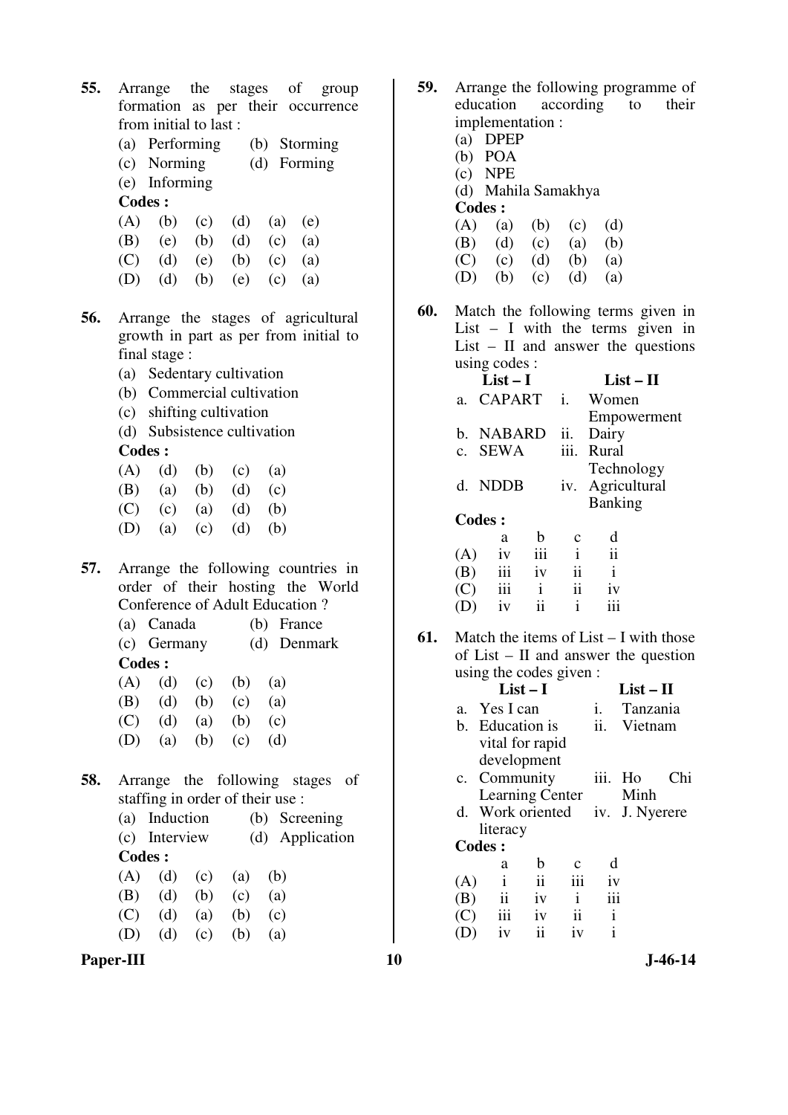- **55.** Arrange the stages of group formation as per their occurrence from initial to last :
	- (a) Performing (b) Storming
	- (c) Norming (d) Forming
	- (e) Informing

## **Codes :**

|  |  | (A) (b) (c) (d) (a) (e) |  |
|--|--|-------------------------|--|
|  |  | (B) (e) (b) (d) (c) (a) |  |
|  |  | (C) (d) (e) (b) (c) (a) |  |
|  |  | (D) (d) (b) (e) (c) (a) |  |

- **56.** Arrange the stages of agricultural growth in part as per from initial to final stage :
	- (a) Sedentary cultivation
	- (b) Commercial cultivation
	- (c) shifting cultivation
	- (d) Subsistence cultivation

**Codes :** 

|  | $(A)$ $(d)$ $(b)$ $(c)$ $(a)$                               |  |  |
|--|-------------------------------------------------------------|--|--|
|  | $\sqrt{12}$ $\sqrt{12}$ $\sqrt{12}$ $\sqrt{12}$ $\sqrt{12}$ |  |  |

- (B) (a) (b) (d) (c)
	- (C) (c) (a) (d) (b)
	- (D) (a) (c) (d) (b)
- **57.** Arrange the following countries in order of their hosting the World Conference of Adult Education ?
	- (a) Canada (b) France (c) Germany (d) Denmark
	- **Codes :**
	- $(A)$   $(d)$   $(c)$   $(b)$   $(a)$ (B) (d) (b) (c) (a)
	- (C) (d) (a) (b) (c)
	- (D) (a) (b) (c) (d)
- **58.** Arrange the following stages of staffing in order of their use :

|     | (a) Induction                 |             |                 |     | (b) Screening   |
|-----|-------------------------------|-------------|-----------------|-----|-----------------|
|     | (c) Interview                 |             |                 |     | (d) Application |
|     | Codes :                       |             |                 |     |                 |
|     | $(A)$ $(d)$ $(c)$ $(a)$ $(b)$ |             |                 |     |                 |
|     | (B) (d) (b) (c)               |             |                 | (a) |                 |
| (C) |                               | $(d)$ $(a)$ | (b)             | (c) |                 |
| (D) |                               |             | (d) (c) (b) (a) |     |                 |
|     |                               |             |                 |     |                 |



- **59.** Arrange the following programme of education according to their according to their implementation :
	- (a) DPEP
	- (b) POA (c) NPE
	- (d) Mahila Samakhya

**Codes :** 

| ----- |             |     |             |     |
|-------|-------------|-----|-------------|-----|
|       | $(A)$ $(a)$ |     | $(b)$ $(c)$ | (d) |
| (B)   | (d)         | (c) | (a)         | (b) |
| (C)   | (c)         |     | $(d)$ $(b)$ | (a) |
| (D)   | (b)         | (c) | (d)         | (a) |

**60.** Match the following terms given in List – I with the terms given in List – II and answer the questions using codes :

|     | $List-I$      |              |                     | $List-II$           |
|-----|---------------|--------------|---------------------|---------------------|
| a.  | <b>CAPART</b> |              | $\mathbf{i}$ .      | Women               |
|     |               |              |                     | Empowerment         |
|     | b. NABARD     |              | ii.                 | Dairy               |
|     | c. SEWA       |              | iii.                | Rural               |
|     |               |              |                     | Technology          |
|     | d. NDDB       |              | 1V.                 | Agricultural        |
|     |               |              |                     | <b>Banking</b>      |
|     | Codes :       |              |                     |                     |
|     | a             | b            | C                   | d                   |
| (A) | iv            | iii          | $\mathbf{i}$        | $\ddot{\mathbf{i}}$ |
| (B) | iii           | iv           | $\ddot{\mathbf{i}}$ | $\mathbf{i}$        |
| (C) | iii           | $\mathbf{i}$ | $\mathbf{ii}$       | 1V                  |
|     | iv            | ii           | i                   |                     |

**61.** Match the items of List – I with those of List – II and answer the question using the codes given :

|                |                  | $List-I$ |              |      | $List-II$      |       |
|----------------|------------------|----------|--------------|------|----------------|-------|
| $\mathbf{a}$ . | Yes I can        |          |              | 1.   | Tanzania       |       |
| h.             | Education is     |          |              | ii.  | Vietnam        |       |
|                | vital for rapid  |          |              |      |                |       |
|                | development      |          |              |      |                |       |
|                | c. Community     |          |              | iii. | Ho             | ( `hi |
|                | Learning Center  |          |              |      | Minh           |       |
|                | d. Work oriented |          |              |      | iv. J. Nyerere |       |
|                | literacy         |          |              |      |                |       |
|                | <b>Codes:</b>    |          |              |      |                |       |
|                | a                | b        | с            | d    |                |       |
| (A)            | Ť                | ii       | iii          | 1V   |                |       |
| (B)            | $\mathbf{ii}$    | iv       | $\mathbf{i}$ | iii  |                |       |
| (C)            | iii              | 1V       | ii           | İ    |                |       |
|                | iv               | ii       | 1V           | i    |                |       |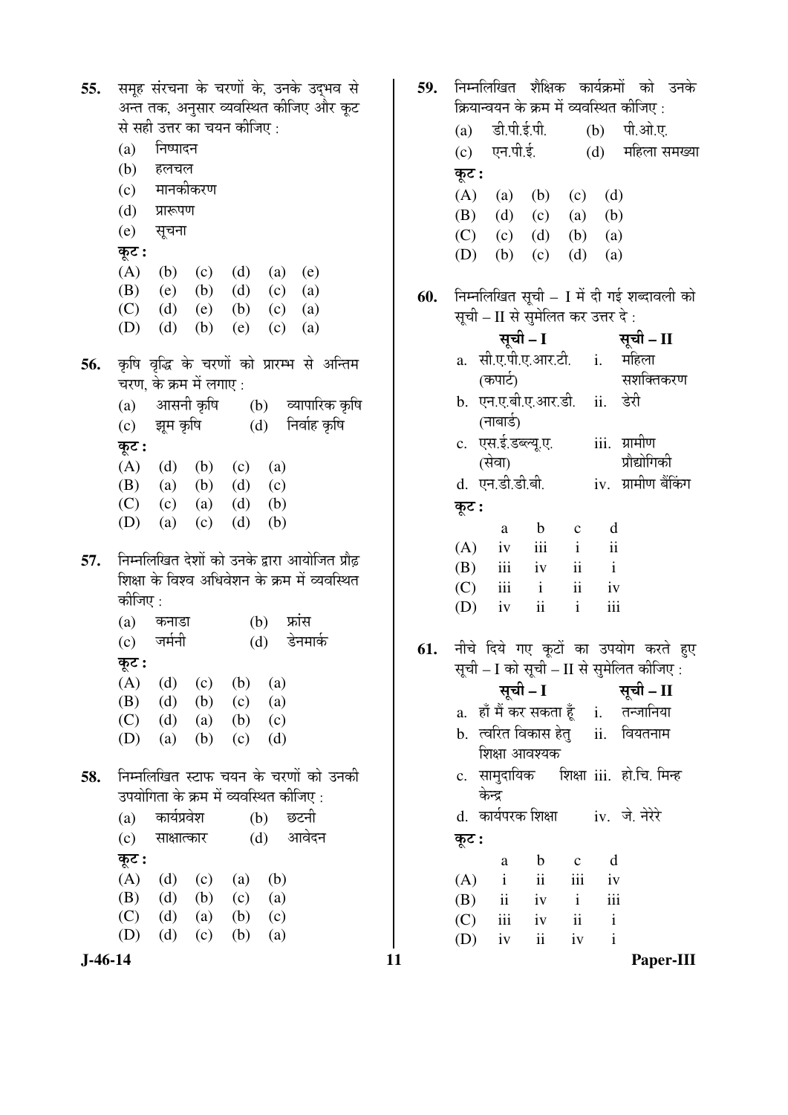| $(A)$ $(b)$ $(c)$ $(d)$ $(a)$ $(e)$<br>(B) (e) (b) (d) (c) (a)<br>(C) (d) (e) (b) (c) (a)<br>(D) (d) (b) (e) (c) (a)<br>56. कृषि वृद्धि के चरणों को प्रारम्भ से अन्तिम<br>चरण, के क्रम में लगाए :<br>(a) आसनी कृषि (b) व्यापारिक कृषि<br>(c) झूम कृषि (d) निर्वाह कृषि<br>कूट :<br>$(A)$ $(d)$ $(b)$ $(c)$ $(a)$<br>(B) (a) (b) (d) (c)<br>(C) (c) (a) (d) (b)<br>$(d)$ $(b)$<br>(D) (a) (c)<br>निम्नलिखित देशों को उनके द्वारा आयोजित प्रौढ़<br>57.<br>शिक्षा के विश्व अधिवेशन के क्रम में व्यवस्थित<br>कीजिए :<br>(b) फ्रांस<br>(a) कनाडा<br>(c) जर्मनी<br>(d) डेनमार्क<br>कूट :<br>$(A)$ $(d)$ $(c)$ $(b)$ $(a)$<br>(B) (d) (b) (c) (a)<br>$(C)$ (d) (a) (b) (c)<br>(D) (a) (b) (c) (d)<br>निम्नलिखित स्टाफ चयन के चरणों को उनकी<br>58.<br>उपयोगिता के क्रम में व्यवस्थित कीजिए : | 55. | कूट : | से सही उत्तर का चयन कीजिए:<br>(a) निष्पादन<br>(b) हलचल<br>(c) मानकीकरण<br>(d) प्रारूपण<br>(e) सूचना |  |  | समूह संरचना के चरणों के, उनके उद्भव से<br>अन्त तक, अनुसार व्यवस्थित कीजिए और कूट |  |
|--------------------------------------------------------------------------------------------------------------------------------------------------------------------------------------------------------------------------------------------------------------------------------------------------------------------------------------------------------------------------------------------------------------------------------------------------------------------------------------------------------------------------------------------------------------------------------------------------------------------------------------------------------------------------------------------------------------------------------------------------------------------------------------|-----|-------|-----------------------------------------------------------------------------------------------------|--|--|----------------------------------------------------------------------------------|--|
|                                                                                                                                                                                                                                                                                                                                                                                                                                                                                                                                                                                                                                                                                                                                                                                      |     |       |                                                                                                     |  |  |                                                                                  |  |
|                                                                                                                                                                                                                                                                                                                                                                                                                                                                                                                                                                                                                                                                                                                                                                                      |     |       |                                                                                                     |  |  |                                                                                  |  |
|                                                                                                                                                                                                                                                                                                                                                                                                                                                                                                                                                                                                                                                                                                                                                                                      |     |       |                                                                                                     |  |  |                                                                                  |  |
|                                                                                                                                                                                                                                                                                                                                                                                                                                                                                                                                                                                                                                                                                                                                                                                      |     |       |                                                                                                     |  |  |                                                                                  |  |
|                                                                                                                                                                                                                                                                                                                                                                                                                                                                                                                                                                                                                                                                                                                                                                                      |     |       |                                                                                                     |  |  |                                                                                  |  |
|                                                                                                                                                                                                                                                                                                                                                                                                                                                                                                                                                                                                                                                                                                                                                                                      |     |       |                                                                                                     |  |  |                                                                                  |  |
|                                                                                                                                                                                                                                                                                                                                                                                                                                                                                                                                                                                                                                                                                                                                                                                      |     |       |                                                                                                     |  |  |                                                                                  |  |
|                                                                                                                                                                                                                                                                                                                                                                                                                                                                                                                                                                                                                                                                                                                                                                                      |     |       |                                                                                                     |  |  |                                                                                  |  |
|                                                                                                                                                                                                                                                                                                                                                                                                                                                                                                                                                                                                                                                                                                                                                                                      |     |       |                                                                                                     |  |  |                                                                                  |  |
|                                                                                                                                                                                                                                                                                                                                                                                                                                                                                                                                                                                                                                                                                                                                                                                      |     |       |                                                                                                     |  |  |                                                                                  |  |
|                                                                                                                                                                                                                                                                                                                                                                                                                                                                                                                                                                                                                                                                                                                                                                                      |     |       |                                                                                                     |  |  |                                                                                  |  |
|                                                                                                                                                                                                                                                                                                                                                                                                                                                                                                                                                                                                                                                                                                                                                                                      |     |       |                                                                                                     |  |  |                                                                                  |  |
|                                                                                                                                                                                                                                                                                                                                                                                                                                                                                                                                                                                                                                                                                                                                                                                      |     |       |                                                                                                     |  |  |                                                                                  |  |
|                                                                                                                                                                                                                                                                                                                                                                                                                                                                                                                                                                                                                                                                                                                                                                                      |     |       |                                                                                                     |  |  |                                                                                  |  |
|                                                                                                                                                                                                                                                                                                                                                                                                                                                                                                                                                                                                                                                                                                                                                                                      |     |       |                                                                                                     |  |  |                                                                                  |  |
|                                                                                                                                                                                                                                                                                                                                                                                                                                                                                                                                                                                                                                                                                                                                                                                      |     |       |                                                                                                     |  |  |                                                                                  |  |
|                                                                                                                                                                                                                                                                                                                                                                                                                                                                                                                                                                                                                                                                                                                                                                                      |     |       |                                                                                                     |  |  |                                                                                  |  |
|                                                                                                                                                                                                                                                                                                                                                                                                                                                                                                                                                                                                                                                                                                                                                                                      |     |       |                                                                                                     |  |  |                                                                                  |  |
|                                                                                                                                                                                                                                                                                                                                                                                                                                                                                                                                                                                                                                                                                                                                                                                      |     |       |                                                                                                     |  |  |                                                                                  |  |
| (a) कार्यप्रवेश (b) छटनी<br>(c) साक्षात्कार (d) आवेदन<br>कूट :                                                                                                                                                                                                                                                                                                                                                                                                                                                                                                                                                                                                                                                                                                                       |     |       |                                                                                                     |  |  |                                                                                  |  |
| $(A)$ $(d)$ $(c)$ $(a)$<br>(b)                                                                                                                                                                                                                                                                                                                                                                                                                                                                                                                                                                                                                                                                                                                                                       |     |       |                                                                                                     |  |  |                                                                                  |  |
| (B) (d) (b) (c) (a)                                                                                                                                                                                                                                                                                                                                                                                                                                                                                                                                                                                                                                                                                                                                                                  |     |       |                                                                                                     |  |  |                                                                                  |  |
| $(C)$ (d) (a) (b) (c)                                                                                                                                                                                                                                                                                                                                                                                                                                                                                                                                                                                                                                                                                                                                                                |     |       |                                                                                                     |  |  |                                                                                  |  |
| (D) (d) (c) (b) (a)                                                                                                                                                                                                                                                                                                                                                                                                                                                                                                                                                                                                                                                                                                                                                                  |     |       |                                                                                                     |  |  |                                                                                  |  |

11

59. निम्नलिखित शैक्षिक कार्यक्रमों को उनके क्रियान्वयन के क्रम में व्यवस्थित कीजिए : डी.पी.ई.पी. पी.ओ.ए.  $(a)$  $(b)$ एन.पी.ई. (d) महिला समख्या  $(c)$ कूट :  $(A)$  $(d)$  $(a)$  $(b)$  $(c)$ (B)  $(d)$  $(b)$  $(c)$  $(a)$  $(C)$  $(d)$  $(a)$  $(c)$  $(b)$  $(D)$  $(d)$  $(b)$  $(c)$  $(a)$ निम्नलिखित सूची – I में दी गई शब्दावली को 60. सूची – II से सुमेलित कर उत्तर दे: सूची – I सूची – II a. सी.ए.पी.ए.आर.टी. महिला  $\mathbf{i}$ . सशक्तिकरण (कपार्ट) b. एन.ए.बी.ए.आर.डी. ii. डेरी (नाबार्ड) c. एस.ई.डब्ल्यू.ए. iii. ग्रामीण प्रौद्योगिकी (सेवा) iv. ग्रामीण बैंकिंग d. एन.डी.डी.बी. कूट :  $\mathbf b$ d a  $\mathbf{c}$  $(A)$  $iv$ iii  $\mathbf{i}$  $\mathbf{ii}$  $\mathbf{i}$ (B) iii  $iv$  $\mathbf{ii}$  $(C)$ iii  $\mathbf{i}$  $\ddot{\rm ii}$  $iv$  $\mathbf{i}$ iii  $(D)$ iv  $\mathbf{ii}$ नीचे दिये गए कूटों का उपयोग करते हुए 61. सूची – I को सूची – II से सुमेलित कीजिए : सूची - I सूची – II a. हाँ मैं कर सकता हूँ तन्जानिया  $\mathbf{i}$ . b. त्वरित विकास हेत् ii. वियतनाम शिक्षा आवश्यक c. सामुदायिक शिक्षा iii. हो.चि. मिन्ह केन्द्र d. कार्यपरक शिक्षा iv. जे. नेरेरे कूट :  $\mathbf b$  $\mathbf{c}$ d a  $(A)$  $\mathbf{i}$ iii  $iv$  $\mathbf{ii}$  $\mathbf{i}$ iii (B)  $\mathbf{ii}$  $iv$  $(C)$ iii  $iv$  $\mathbf{ii}$  $\mathbf{i}$  $(D)$  $iv$  $iv$  $\mathbf{i}$  $\mathbf{ii}$ 

Paper-III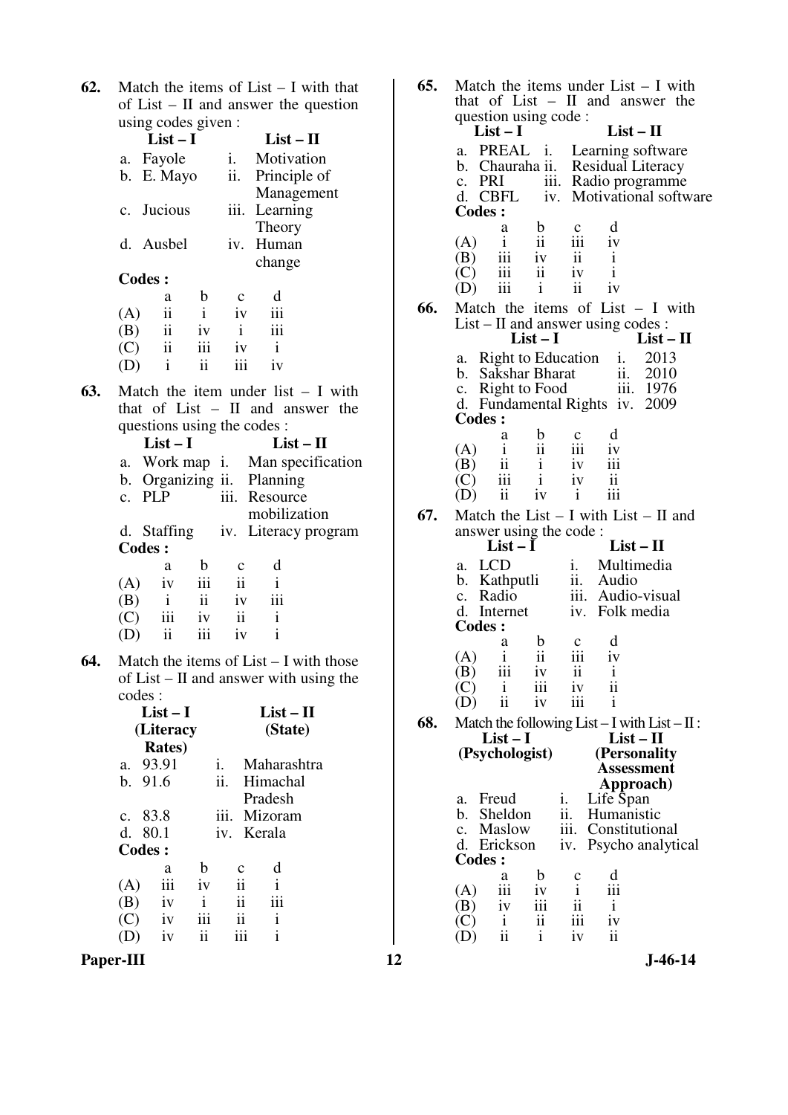**62.** Match the items of List – I with that of List – II and answer the question using codes given :

|     |     | $List-I$                    |              |              | $List-II$                                |  |
|-----|-----|-----------------------------|--------------|--------------|------------------------------------------|--|
|     |     | a. Fayole                   |              | i.           | Motivation                               |  |
|     |     | b. E. Mayo                  |              | ii.          | Principle of                             |  |
|     |     |                             |              |              | Management                               |  |
|     |     | c. Jucious                  |              | iii.         | Learning                                 |  |
|     |     |                             |              |              | Theory                                   |  |
|     |     | d. Ausbel                   |              | iv.          | Human                                    |  |
|     |     |                             |              |              | change                                   |  |
|     |     | <b>Codes:</b>               |              |              |                                          |  |
|     |     | a                           | b            | $\mathbf c$  | d                                        |  |
|     | (A) | $\ddot{\rm ii}$             | $\mathbf{i}$ | iv           | iii                                      |  |
|     | (B) | $\ddot{\mathbf{i}}$         | iv           | $\mathbf{i}$ | iii                                      |  |
|     |     | $(C)$ ii                    | iii          | iv           | $\mathbf{i}$                             |  |
|     | (D) | $\mathbf{i}$                | ii.          | iii          | iv                                       |  |
| 63. |     |                             |              |              | Match the item under list $- I$ with     |  |
|     |     |                             |              |              | that of List $-$ II and answer the       |  |
|     |     | questions using the codes : |              |              |                                          |  |
|     |     | $List-I$                    |              |              | $List-II$                                |  |
|     |     |                             |              |              | a. Work map <i>i</i> . Man specification |  |
|     |     | b. Organizing ii.           |              |              | Planning                                 |  |
|     |     |                             |              |              |                                          |  |

|     | $\sum$  |     |                     |                                  |  |
|-----|---------|-----|---------------------|----------------------------------|--|
|     | c. PLP  |     |                     | iii. Resource                    |  |
|     |         |     |                     | mobilization                     |  |
|     |         |     |                     | d. Staffing iv. Literacy program |  |
|     | Codes : |     |                     |                                  |  |
|     | a       | h   | C                   | d                                |  |
| (A) | 1V      | iii | $\ddot{\mathbf{i}}$ |                                  |  |
| (B) |         | ii  | iv                  | iii                              |  |
| (C) | iii     | 1V  | ii                  | 1                                |  |
|     |         |     |                     |                                  |  |

**64.** Match the items of List – I with those of List – II and answer with using the codes :

|                | $List-I$<br>(Literacy<br><b>Rates</b> ) |              |                |             | $List-II$<br>(State) |
|----------------|-----------------------------------------|--------------|----------------|-------------|----------------------|
| a.             | 93.91                                   |              | i.             | Maharashtra |                      |
|                | b.91.6                                  |              | ii.            | Himachal    |                      |
|                |                                         |              |                | Pradesh     |                      |
| $\mathbf{c}$ . | 83.8                                    |              | iii.           | Mizoram     |                      |
|                | d. 80.1                                 |              | $\mathbf{v}$ . | Kerala      |                      |
|                | Codes:                                  |              |                |             |                      |
|                | a                                       | h            | $\mathbf c$    | d           |                      |
| (A)            | iii                                     | iv           | ii             | i           |                      |
| (B)            | iv                                      | $\mathbf{i}$ | ii             | iii         |                      |
| (C)            | iv                                      | iii          | ii             | i           |                      |
|                | iv                                      | ij           |                | i           |                      |

**Paper-III 12 J-46-14** 

 $(D)$ 

| 65. | Match the items under $List - I$ with                                                       |
|-----|---------------------------------------------------------------------------------------------|
|     | that of List - II and answer the<br>question using code :                                   |
|     | $List - II$<br>$List-I$                                                                     |
|     | PREAL <i>i.</i> Learning software<br>a.                                                     |
|     | b. Chauraha ii. Residual Literacy                                                           |
|     | c. $PRI$<br>iii. Radio programme<br>d. CBFL<br>Motivational software                        |
|     | iv.<br><b>Codes:</b>                                                                        |
|     | d<br>b<br>a<br>$\mathbf c$                                                                  |
|     | ii<br>iii<br>$\mathbf{i}$<br>(A)<br>iv                                                      |
|     | iii<br>$\mathbf{ii}$<br>$\mathbf{i}$<br>(B)<br>iv<br>(C)<br>iii<br>ii<br>$\mathbf{i}$<br>iv |
|     | iii<br>$\overline{\mathbf{u}}$<br>i<br>iv<br>(D)                                            |
| 66. | Match the items of List $- I$ with                                                          |
|     | List – II and answer using codes :                                                          |
|     | $List-I$<br>$List - II$                                                                     |
|     | <b>Right to Education</b><br>2013<br>а.<br>1.<br>b. Sakshar Bharat                          |
|     | ii. 2010<br>iii. 1976<br>c. Right to Food                                                   |
|     | d. Fundamental Rights iv.<br>2009                                                           |
|     | <b>Codes:</b>                                                                               |
|     | d<br>b<br>a<br>$\mathbf{c}$<br>$\mathbf{i}$<br>ii<br>iii<br>iv<br>(A)                       |
|     | $\overline{\mathbf{11}}$<br>iii<br>(B)<br>i<br>iv                                           |
|     | $\overline{\text{iii}}$<br>$\mathbf{i}$<br>$\ddot{\rm n}$<br>(C)<br>iv                      |
|     | iii<br>$\overline{\mathbf{u}}$<br>$\mathbf{i}$<br>(D)<br>iv                                 |
| 67. | Match the List $-$ I with List $-$ II and                                                   |
|     | answer using the code:<br>List $-\bar{I}$<br>$List - II$                                    |
|     | a. LCD<br>Multimedia<br>1.                                                                  |
|     | ii. Audio<br>b. Kathputli                                                                   |
|     | iii. Audio-visual<br>c. Radio                                                               |
|     | d. Internet<br>iv.<br>Folk media<br><b>Codes:</b>                                           |
|     | d<br>b<br>a<br>$\mathbf c$                                                                  |
|     | ii<br>$\mathbf{i}$<br>(A)<br>iv<br>111                                                      |
|     | iii<br>(B)<br>iv<br>ii<br>$\mathbf{i}$                                                      |
|     | $\mathbf{i}$<br>ii<br>(C)<br>iii<br>iv<br>ii<br>iii<br>$\mathbf{i}$<br>iv<br>D)             |
| 68. | Match the following List $- I$ with List $- II$ :                                           |
|     | $List-I$<br>$List-II$                                                                       |
|     | (Psychologist)<br>(Personality                                                              |
|     | Assessment<br>Approach)                                                                     |
|     | Freud<br>i.<br>Life Span<br>a.                                                              |
|     | ii.<br>Sheldon<br>b.<br>Humanistic                                                          |
|     | iii.<br>Constitutional<br>Maslow<br>$c_{\cdot}$                                             |
|     | d.<br>Erickson<br>iv.<br>Psycho analytical<br><b>Codes :</b>                                |
|     | d<br>b<br>a<br>c                                                                            |
|     | $\mathbf{i}$<br>iii<br>iii<br>(A)<br>iv                                                     |
|     | ii<br>$\mathbf{i}$<br>iv<br>iii<br>(B)<br>ii<br>iii<br>$(\mathbf{C})$<br>$\mathbf{i}$<br>1V |
|     | i<br>ii<br>iv<br>ii<br>D)                                                                   |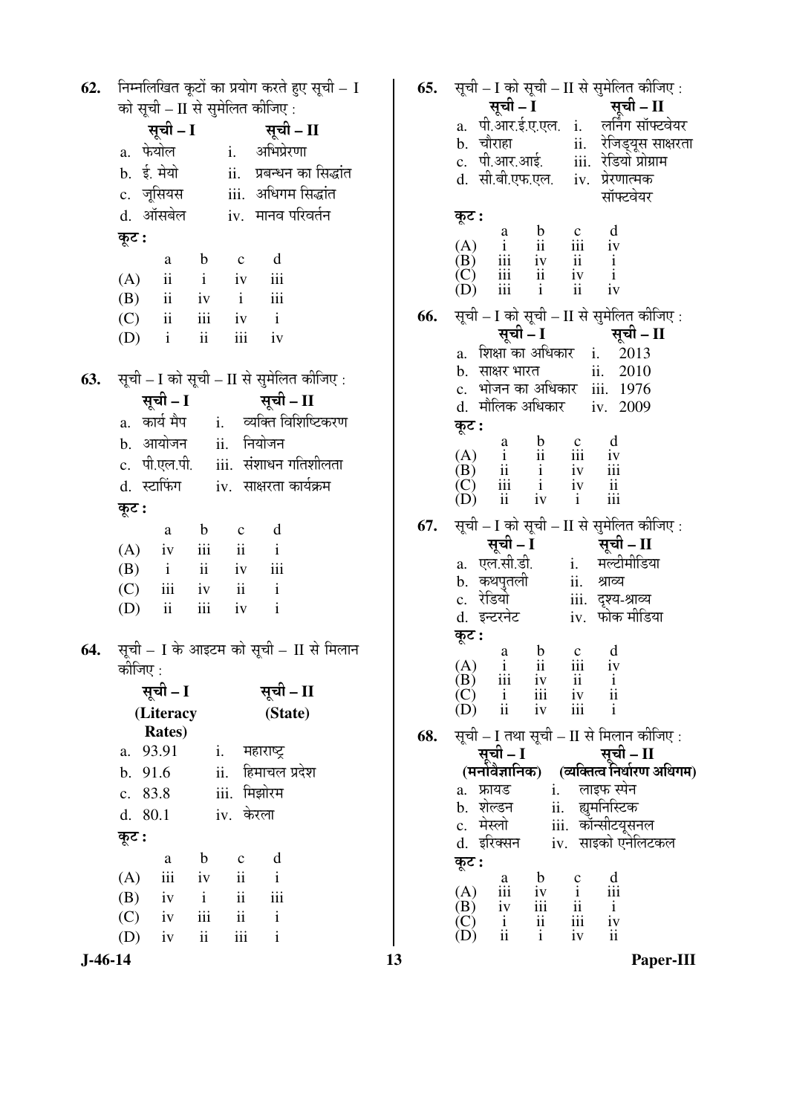निम्नलिखित कुटों का प्रयोग करते हुए सूची – I 62. को सूची – II से समेलित कीजिए : सूची – I सूची – II a. फेयोल अभिप्रेरणा  $\mathbf{i}$ . b. ई. मेयो ii. प्रबन्धन का सिद्धांत c. जूसियस iii. अधिगम सिद्धांत d. ऑसबेल iv. मानव परिवर्तन कूट:  $\rm d$  $\mathbf b$  $\mathbf c$  $\mathbf{a}$ iii  $(A)$ ii  $\mathbf{i}$  $iv$ (B)  $\mathbf{i}$ iii  $\mathbf{ii}$  $iv$  $(C)$  $\mathbf{i}$  $\overline{\mathbf{u}}$ iii  $iv$ (D)  $\mathbf{i}$  $\overline{\mathbf{u}}$ iii iv सूची - I को सूची - II से सुमेलित कीजिए: 63. सची – I सची – II व्यक्ति विशिष्टिकरण a. कार्य मैप  $i$ . b. आयोजन नियोजन  $ii.$ c. पी.एल.पी. iii. संशाधन गतिशीलता d. स्टाफिंग iv. साक्षरता कार्यक्रम कुट :  $\mathbf d$  $\mathbf{a}$  $\mathbf b$  $\mathbf c$  $\mathbf{i}$  $\mathbf{ii}$  $(A)$  $iv$ iii (B)  $\mathbf{i}$  $\mathbf{ii}$  $iv$ iii  $(C)$  $\mathbf{ii}$  $\mathbf{i}$ iii  $iv$ (D)  $\mathbf{i}$  $\overline{\mathbf{i}}$ iii iv सूची – I के आइटम को सूची – II से मिलान 64. कोजिए $\cdot$ सूची – I सूची – II (Literacy (State) **Rates**) a. 93.91 महाराष्ट्र  $\mathbf{i}$ . हिमाचल प्रदेश b. 91.6 ii. c. 83.8 iii. मिझोरम  $d. 80.1$ iv. केरला कूट :  $\mathbf b$ d  $\mathbf{a}$  $\mathbf c$  $\mathbf{ii}$  $\mathbf{i}$  $(A)$ iii  $iv$ (B) iv  $\mathbf{i}$  $\overline{\mathbf{u}}$ iii  $\mathbf{i}$  $(C)$ iv iii  $\mathbf{ii}$  $(D)$  $iv$  $\mathbf{ii}$ iii  $\mathbf{i}$ 

सूची – I सूची – II a. पी.आर.ई.ए.एल. i. लर्निंग सॉफ्टवेयर b. चौराहा ii. रेजिडयस साक्षरता c. पी.आर.आई. iii. रेडियो प्रोग्राम d. सी.बी.एफ.एल. iv. प्रेरणात्मक सॉफ्टवेयर कूट:  $\mathbf b$  $\mathbf d$  $\mathbf c$  $\rm{a}$  $(A)$ iii  $\mathbf{i}$  $iv$  $\overline{\mathbf{u}}$  $(B)$ iii  $iv$  $\mathbf{ii}$  $\mathbf{i}$  $(C)$  $\mathbf{i}$ iii ii iv (D)  $\overline{111}$  $\mathbf{i}$  $\overline{11}$ iv सूची - I को सूची - II से सुमेलित कीजिए: 66. सूची – I सूची – II a. शिक्षा का अधिकार  $\mathbf{i}$ . 2013  $ii.$ b. साक्षर भारत 2010 c. भोजन का अधिकार iii. 1976 d. मौलिक अधिकार iv. 2009 कूट:  $\mathbf{a}$  $\mathbf b$  $\mathbf{c}$ d  $(A)$  $\mathbf{i}$ iii  $\overline{\mathbf{u}}$ iv (B)  $\overline{\mathbf{u}}$  $\mathbf{i}$ iv iii  $\vec{C}$ iii  $\mathbf{i}$  $iv$  $\overline{\mathbf{u}}$  $(D)$  $\overline{\mathbf{u}}$  $iv$  $\mathbf{i}$ iii सूची – I को सूची – II से सुमेलित कीजिए : 67. सची –  $\overline{\mathbf{I}}$ सची –  $II$ मल्टीमीडिया a. एल.सी.डी.  $i$ . b. कथपुतली श्राव्य ii. c. रेडियो iii. दृश्य-श्राव्य iv. फोक मीडिया d. इन्टरनेट कूट: d  $\mathbf b$  $\mathbf{c}$  $\rm{a}$  $(A)$ iii iv  $\mathbf{i}$  $\overline{\mathbf{u}}$  $(B)$ iii iv  $\overline{\mathbf{1}}$  $\mathbf{i}$  $(C)$  $\mathbf{i}$ iii  $iv$  $\overline{\mathbf{1}}$ (D)  $\overline{\mathbf{u}}$  $iv$  $\overline{111}$ j. सूची – I तथा सूची – II से मिलान कीजिए : 68. सूची – I सची – II (व्यक्तित्व निर्धारण अधिगम) (मनोवैज्ञानिक) a. फ्रायड  $i$ . लाइफ स्पेन ह्यमनिस्टिक b. शेल्डन ii. c. मेस्लो iii. कॉन्सीटयूसनल iv. साइको एनेलिटकल d. इरिक्सन कट: d  $\mathbf b$  $\mathbf{c}$ a  $(A)$  $\mathbf{i}$ iii iv iii  $(B)$  $\mathbf{ii}$ iv iii  $\mathbf{i}$  $(C)$ iii iv  $\mathbf{i}$ ii (D)  $\overline{\mathbf{u}}$  $\mathbf{i}$  $iv$  $\overline{\mathbf{1}}$ 

सूची - I को सूची - II से सुमेलित कीजिए:

65.

 $J-46-14$ 

13

Paper-III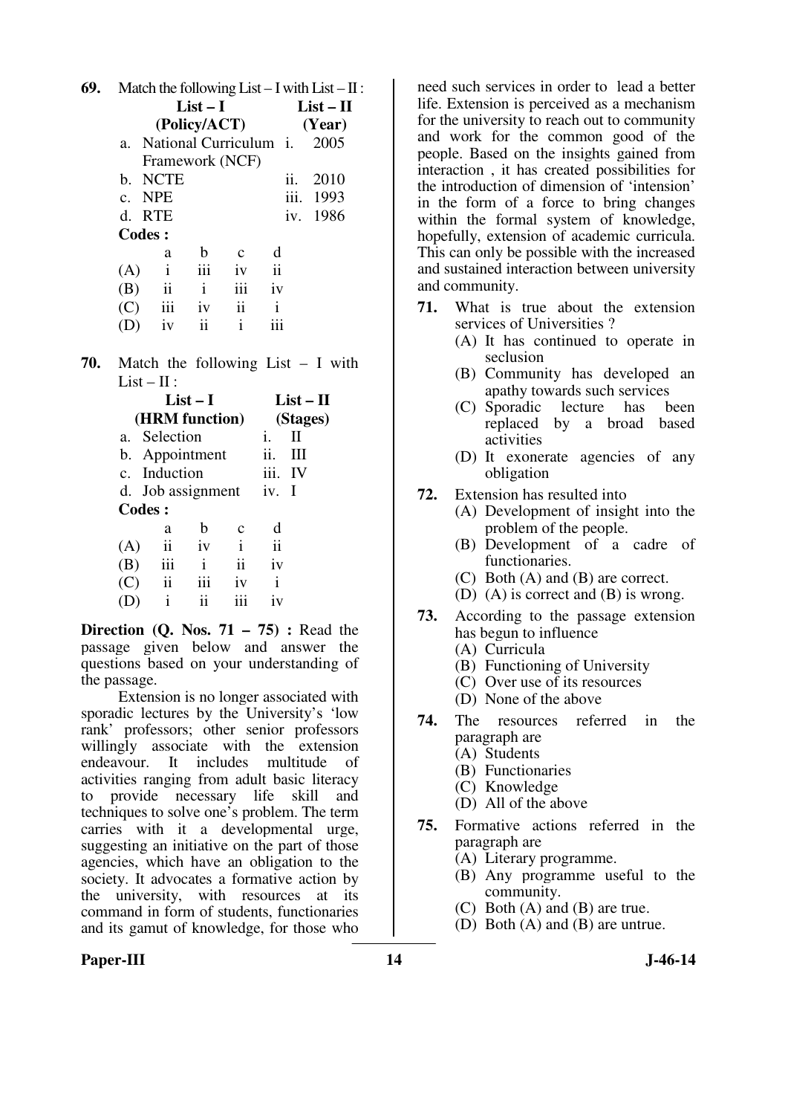| 69. | Match the following List $-I$ with List $-II$ : |                        |              |                     |                     |      |             |  |  |
|-----|-------------------------------------------------|------------------------|--------------|---------------------|---------------------|------|-------------|--|--|
|     |                                                 | List – I               |              |                     |                     |      | $List - II$ |  |  |
|     |                                                 | (Policy/ACT)           |              |                     |                     |      | (Year)      |  |  |
|     | $a_{-}$                                         | National Curriculum i. |              |                     |                     |      | 2005        |  |  |
|     |                                                 | Framework (NCF)        |              |                     |                     |      |             |  |  |
|     | b.                                              | <b>NCTE</b>            |              |                     | 11.                 |      | 2010        |  |  |
|     |                                                 | c. NPE                 |              |                     |                     | iii. | 1993        |  |  |
|     |                                                 | d. RTE                 |              |                     | iv.                 |      | 1986        |  |  |
|     |                                                 | <b>Codes:</b>          |              |                     |                     |      |             |  |  |
|     |                                                 | a                      | b            | с                   | d                   |      |             |  |  |
|     | (A)                                             | $\mathbf{i}$           | iii          | iv                  | $\ddot{\mathbf{i}}$ |      |             |  |  |
|     | (B)                                             | ii                     | $\mathbf{i}$ | iii                 | iv                  |      |             |  |  |
|     | (C)                                             | iii                    | iv           | $\ddot{\mathbf{i}}$ | i                   |      |             |  |  |
|     |                                                 | iv                     | ii           | i                   |                     |      |             |  |  |
|     |                                                 |                        |              |                     |                     |      |             |  |  |

**70.** Match the following List – I with  $List - II:$ 

| $List-I$       |                   |     |                     |                     | $List - II$  |  |  |
|----------------|-------------------|-----|---------------------|---------------------|--------------|--|--|
| (HRM function) |                   |     |                     |                     | (Stages)     |  |  |
|                | a. Selection      |     |                     |                     | $\mathbf{I}$ |  |  |
|                | b. Appointment    |     |                     | ii.                 | Ш            |  |  |
|                | c. Induction      |     |                     | iii.                | IV           |  |  |
|                | d. Job assignment |     |                     | iv. I               |              |  |  |
|                | <b>Codes:</b>     |     |                     |                     |              |  |  |
|                | a                 | h   | с                   | d                   |              |  |  |
| (A)            | ii                | iv  | $\mathbf{i}$        | $\ddot{\mathbf{i}}$ |              |  |  |
| (B)            | iii               | i   | $\ddot{\mathbf{i}}$ | iv                  |              |  |  |
| (C)            | ii                | iii | 1V                  | i                   |              |  |  |
|                | i                 | ij  |                     | 1V                  |              |  |  |
|                |                   |     |                     |                     |              |  |  |

**Direction (Q. Nos. 71 – 75) :** Read the passage given below and answer the questions based on your understanding of the passage.

 Extension is no longer associated with sporadic lectures by the University's 'low rank' professors; other senior professors willingly associate with the extension endeavour. It includes multitude of activities ranging from adult basic literacy to provide necessary life skill and techniques to solve one's problem. The term carries with it a developmental urge, suggesting an initiative on the part of those agencies, which have an obligation to the society. It advocates a formative action by the university, with resources at its command in form of students, functionaries and its gamut of knowledge, for those who

need such services in order to lead a better life. Extension is perceived as a mechanism for the university to reach out to community and work for the common good of the people. Based on the insights gained from interaction , it has created possibilities for the introduction of dimension of 'intension' in the form of a force to bring changes within the formal system of knowledge, hopefully, extension of academic curricula. This can only be possible with the increased and sustained interaction between university and community.

- **71.** What is true about the extension services of Universities ?
	- (A) It has continued to operate in seclusion
	- (B) Community has developed an apathy towards such services
	- (C) Sporadic lecture has been replaced by a broad based activities
	- (D) It exonerate agencies of any obligation
- **72.** Extension has resulted into
	- (A) Development of insight into the problem of the people.
	- (B) Development of a cadre of functionaries.
	- (C) Both (A) and (B) are correct.
	- (D) (A) is correct and (B) is wrong.
- **73.** According to the passage extension has begun to influence
	- (A) Curricula
	- (B) Functioning of University
	- (C) Over use of its resources
	- (D) None of the above
- **74.** The resources referred in the paragraph are
	- (A) Students
	- (B) Functionaries
	- (C) Knowledge
	- (D) All of the above
- **75.** Formative actions referred in the paragraph are
	- (A) Literary programme.
	- (B) Any programme useful to the community.
	- (C) Both (A) and (B) are true.
	- (D) Both (A) and (B) are untrue.

## Paper-III **14** J-46-14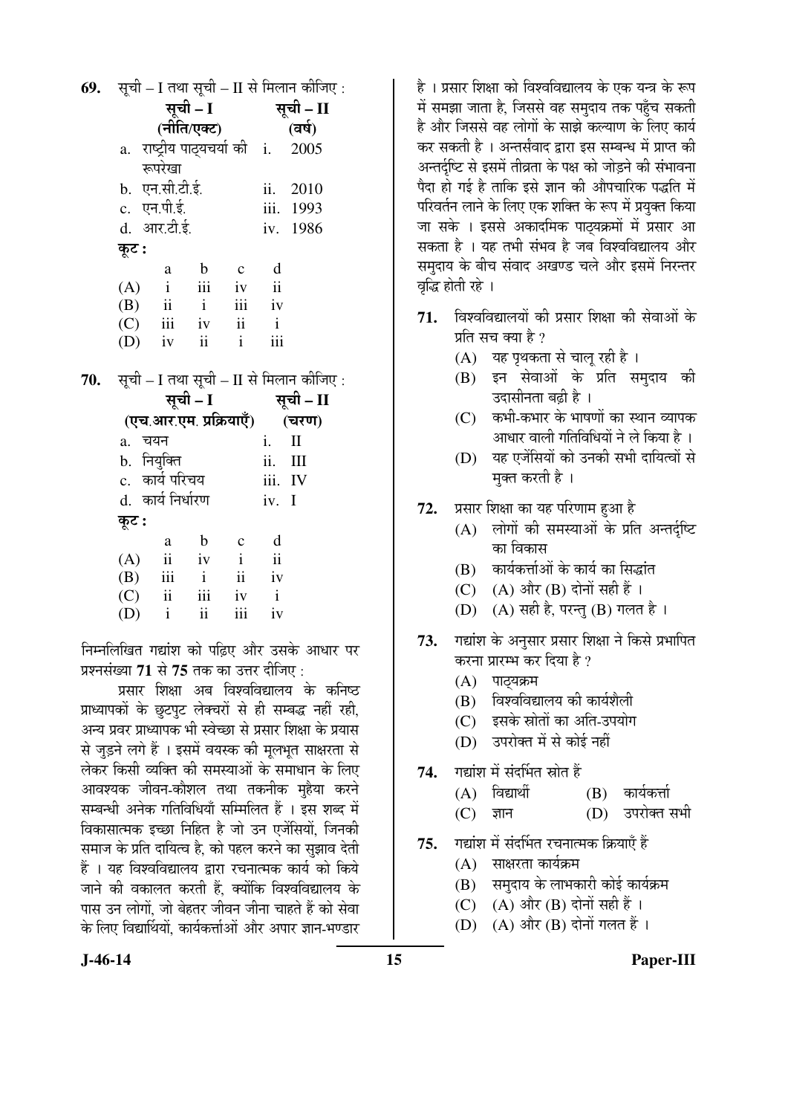| <b>69.</b> |          |                                          |             |                     |                     | सूची – I तथा सूची – II से मिलान कीजिए :     |  |  |
|------------|----------|------------------------------------------|-------------|---------------------|---------------------|---------------------------------------------|--|--|
|            | सूची – I |                                          |             |                     | सूची – II           |                                             |  |  |
|            |          | (नीति/एक्ट)                              |             |                     |                     | (वर्ष)                                      |  |  |
|            |          | a. राष्ट्रीय पाठ्यचर्या की i.            |             |                     |                     | 2005                                        |  |  |
|            |          | रूपरेखा                                  |             |                     |                     |                                             |  |  |
|            |          | b. एन.सी.टी.ई.                           |             |                     |                     | ii. 2010                                    |  |  |
|            |          | c. एन.पी.ई.                              |             |                     |                     | iii. 1993                                   |  |  |
|            |          | d. आर.टी.ई.                              |             |                     |                     | iv. 1986                                    |  |  |
|            | कूट :    |                                          |             |                     |                     |                                             |  |  |
|            |          | a                                        | $\mathbf b$ | $\mathbf{c}$        | d                   |                                             |  |  |
|            |          | $(A)$ i                                  |             | iii iv              | $\ddot{\mathbf{i}}$ |                                             |  |  |
|            |          | $(B)$ ii ii                              |             |                     | iv                  |                                             |  |  |
|            |          | $(C)$ iii iv                             |             | $\ddot{\mathbf{i}}$ | $\mathbf{i}$        |                                             |  |  |
|            |          | $(D)$ iv ii                              |             | $\mathbf{i}$        | iii                 |                                             |  |  |
| 70.        |          |                                          |             |                     |                     | सूची – I तथा सूची – II से मिलान कीजिए :     |  |  |
|            | सूची – I |                                          |             |                     | सूची – II           |                                             |  |  |
|            |          | (एच.आर.एम. प्रक्रियाएँ) (चरण)            |             |                     |                     |                                             |  |  |
|            | a. चयन   |                                          |             |                     | i.                  | $\mathbf{I}$                                |  |  |
|            |          | b. नियुक्ति                              |             |                     | ii. III             |                                             |  |  |
|            |          | c.  कार्य परिचय                          |             |                     | iii. IV             |                                             |  |  |
|            |          | d. कार्य निर्धारण                        |             |                     | iv. I               |                                             |  |  |
|            | कूट :    |                                          |             |                     |                     |                                             |  |  |
|            |          | a                                        | $\mathbf b$ | $\mathbf{c}$        | $\mathbf d$         |                                             |  |  |
|            |          | $(A)$ ii iv                              |             | $\mathbf{i}$        | $\ddot{\mathbf{i}}$ |                                             |  |  |
|            |          | $(B)$ iii i                              |             | ii iv               |                     |                                             |  |  |
|            |          | $(C)$ ii                                 | iii         | iv                  | $\mathbf{i}$        |                                             |  |  |
|            | $(D)$ i  |                                          | ii          | iii                 | iv                  |                                             |  |  |
|            |          |                                          |             |                     |                     | निम्नलिखित गद्यांश को पढ़िए और उसके आधार पर |  |  |
|            |          | प्रश्नसंख्या 71 से 75 तक का उत्तर दीजिए: |             |                     |                     |                                             |  |  |
|            |          |                                          |             |                     |                     |                                             |  |  |

प्रसार शिक्षा अब विश्वविद्यालय के कनिष्ठ प्राध्यापकों के छूटपुट लेक्चरों से ही सम्बद्ध नहीं रही, अन्य प्रवर प्राध्यापक भी स्वेच्छा से प्रसार शिक्षा के प्रयास से जुड़ने लगे हैं । इसमें वयस्क की मुलभुत साक्षरता से लेकर किसी व्यक्ति की समस्याओं के समाधान के लिए आवश्यक जीवन-कौशल तथा तकनीक महैया करने सम्बन्धी अनेक गतिविधियाँ सम्मिलित हैं । इस शब्द में विकासात्मक इच्छा निहित है जो उन एजेंसियों, जिनकी समाज के प्रति दायित्व है. को पहल करने का सुझाव देती हैं । यह विश्वविद्यालय द्वारा रचनात्मक कार्य को किये जाने की वकालत करती हैं. क्योंकि विश्वविद्यालय के पास उन लोगों. जो बेहतर जीवन जीना चाहते हैं को सेवा के लिए विद्यार्थियों, कार्यकर्त्ताओं और अपार ज्ञान-भण्डार

है । प्रसार शिक्षा को विश्वविद्यालय के एक यन्त्र के रूप में समझा जाता है, जिससे वह समुदाय तक पहुँच सकती है और जिससे वह लोगों के साझे कल्याण के लिए कार्य कर सकती है । अन्तर्संवाद द्वारा इस सम्बन्ध में प्राप्त की अन्तर्दृष्टि से इसमें तीव्रता के पक्ष को जोड़ने की संभावना पैदा हो गई है ताकि इसे ज्ञान की औपचारिक पद्धति में परिवर्तन लाने के लिए एक शक्ति के रूप में प्रयुक्त किया जा सके । इससे अकादमिक पाठयक्रमों में प्रसार आ सकता है । यह तभी संभव है जब विश्वविद्यालय और समुदाय के बीच संवाद अखण्ड चले और इसमें निरन्तर वद्धि होती रहे ।

- 71. विश्वविद्यालयों की प्रसार शिक्षा की सेवाओं के प्रति सच क्या है ?
	- (A) यह पृथकता से चालू रही है।
	- (B) इन सेवाओं के प्रति समदाय की उदासीनता बढ़ी है ।
	- $(C)$  कभी-कभार के भाषणों का स्थान व्यापक आधार वाली गतिविधियों ने ले किया है ।
	- (D) यह एजेंसियों को उनकी सभी दायित्वों से मुक्त करती है ।
- प्रसार शिक्षा का यह परिणाम हुआ है 72.
	- (A) लोगों की समस्याओं के प्रति अन्तर्दष्टि का विकास
	- (B) कार्यकर्त्ताओं के कार्य का सिद्धांत
	- (C)  $(A)$  और  $(B)$  दोनों सही हैं।
	- (D) (A) सही है, परन्तु (B) गलत है ।
- 73. गद्यांश के अनुसार प्रसार शिक्षा ने किसे प्रभापित करना प्रारम्भ कर दिया है ?
	- (A) पाठ्यक्रम
	- (B) विश्वविद्यालय की कार्यशैली
	- इसके स्रोतों का अति-उपयोग  $(C)$
	- (D) उपरोक्त में से कोई नहीं
- गद्यांश में संदर्भित स्रोत हैं 74.
	- $(A)$  विद्यार्थी कार्यकर्त्ता (B)
	- $(D)$ उपरोक्त सभी  $(C)$ ज्ञान
- गद्यांश में संदर्भित रचनात्मक क्रियाएँ हैं 75.
	- (A) साक्षरता कार्यक्रम
	- (B) समुदाय के लाभकारी कोई कार्यक्रम
	- $(C)$   $(A)$  और  $(B)$  दोनों सही हैं।
	- (A) और (B) दोनों गलत हैं ।  $(D)$

 $J-46-14$